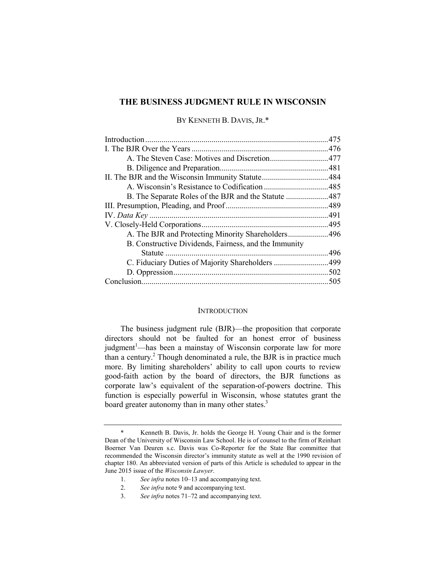# **THE BUSINESS JUDGMENT RULE IN WISCONSIN**

BY KENNETH B. DAVIS, JR.\*

| B. Constructive Dividends, Fairness, and the Immunity |  |
|-------------------------------------------------------|--|
| Statute                                               |  |
| C. Fiduciary Duties of Majority Shareholders 499      |  |
|                                                       |  |
|                                                       |  |
|                                                       |  |

## **INTRODUCTION**

The business judgment rule (BJR)—the proposition that corporate directors should not be faulted for an honest error of business judgment<sup>1</sup>—has been a mainstay of Wisconsin corporate law for more than a century.<sup>2</sup> Though denominated a rule, the BJR is in practice much more. By limiting shareholders' ability to call upon courts to review good-faith action by the board of directors, the BJR functions as corporate law's equivalent of the separation-of-powers doctrine. This function is especially powerful in Wisconsin, whose statutes grant the board greater autonomy than in many other states.<sup>3</sup>

Kenneth B. Davis, Jr. holds the George H. Young Chair and is the former Dean of the University of Wisconsin Law School. He is of counsel to the firm of Reinhart Boerner Van Deuren s.c. Davis was Co-Reporter for the State Bar committee that recommended the Wisconsin director's immunity statute as well at the 1990 revision of chapter 180. An abbreviated version of parts of this Article is scheduled to appear in the June 2015 issue of the *Wisconsin Lawyer*.

<sup>1.</sup> *See infra* notes 10–13 and accompanying text.

<sup>2.</sup> *See infra* note 9 and accompanying text.

<sup>3.</sup> *See infra* notes 71–72 and accompanying text.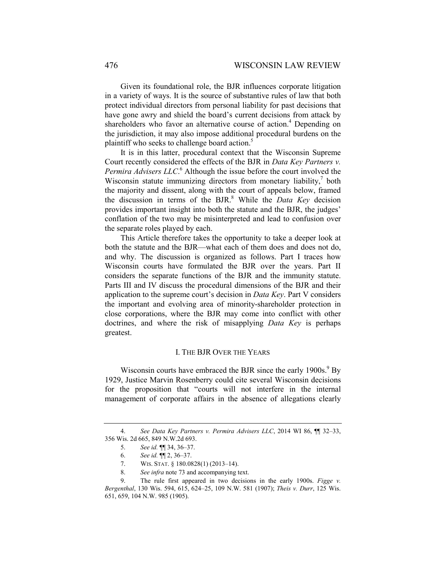Given its foundational role, the BJR influences corporate litigation in a variety of ways. It is the source of substantive rules of law that both protect individual directors from personal liability for past decisions that have gone awry and shield the board's current decisions from attack by shareholders who favor an alternative course of action.<sup>4</sup> Depending on the jurisdiction, it may also impose additional procedural burdens on the plaintiff who seeks to challenge board action.<sup>5</sup>

It is in this latter, procedural context that the Wisconsin Supreme Court recently considered the effects of the BJR in *Data Key Partners v.*  Permira Advisers LLC.<sup>6</sup> Although the issue before the court involved the Wisconsin statute immunizing directors from monetary liability, $\alpha$  both the majority and dissent, along with the court of appeals below, framed the discussion in terms of the BJR.<sup>8</sup> While the *Data Key* decision provides important insight into both the statute and the BJR, the judges' conflation of the two may be misinterpreted and lead to confusion over the separate roles played by each.

This Article therefore takes the opportunity to take a deeper look at both the statute and the BJR—what each of them does and does not do, and why. The discussion is organized as follows. Part I traces how Wisconsin courts have formulated the BJR over the years. Part II considers the separate functions of the BJR and the immunity statute. Parts III and IV discuss the procedural dimensions of the BJR and their application to the supreme court's decision in *Data Key*. Part V considers the important and evolving area of minority-shareholder protection in close corporations, where the BJR may come into conflict with other doctrines, and where the risk of misapplying *Data Key* is perhaps greatest.

# I. THE BJR OVER THE YEARS

Wisconsin courts have embraced the BJR since the early 1900s.<sup>9</sup> By 1929, Justice Marvin Rosenberry could cite several Wisconsin decisions for the proposition that "courts will not interfere in the internal management of corporate affairs in the absence of allegations clearly

<sup>4.</sup> *See Data Key Partners v. Permira Advisers LLC*, 2014 WI 86, ¶¶ 32–33, 356 Wis. 2d 665, 849 N.W.2d 693.

<sup>5.</sup> *See id.* ¶¶ 34, 36–37.

<sup>6.</sup> *See id.* ¶¶ 2, 36–37.

<sup>7.</sup> WIS. STAT. § 180.0828(1) (2013–14).

<sup>8.</sup> *See infra* note 73 and accompanying text.

<sup>9.</sup> The rule first appeared in two decisions in the early 1900s. *Figge v. Bergenthal*, 130 Wis. 594, 615, 624–25, 109 N.W. 581 (1907); *Theis v. Durr*, 125 Wis. 651, 659, 104 N.W. 985 (1905).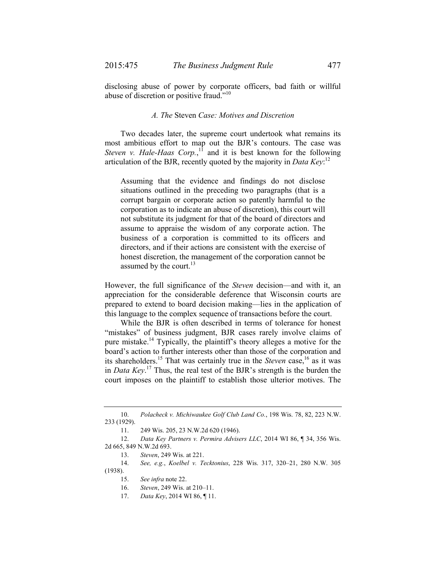disclosing abuse of power by corporate officers, bad faith or willful abuse of discretion or positive fraud."10

# *A. The* Steven *Case: Motives and Discretion*

Two decades later, the supreme court undertook what remains its most ambitious effort to map out the BJR's contours. The case was *Steven v. Hale-Haas Corp.*,<sup>11</sup> and it is best known for the following articulation of the BJR, recently quoted by the majority in *Data Key*: 12

Assuming that the evidence and findings do not disclose situations outlined in the preceding two paragraphs (that is a corrupt bargain or corporate action so patently harmful to the corporation as to indicate an abuse of discretion), this court will not substitute its judgment for that of the board of directors and assume to appraise the wisdom of any corporate action. The business of a corporation is committed to its officers and directors, and if their actions are consistent with the exercise of honest discretion, the management of the corporation cannot be assumed by the court. $^{13}$ 

However, the full significance of the *Steven* decision—and with it, an appreciation for the considerable deference that Wisconsin courts are prepared to extend to board decision making—lies in the application of this language to the complex sequence of transactions before the court.

While the BJR is often described in terms of tolerance for honest "mistakes" of business judgment, BJR cases rarely involve claims of pure mistake.14 Typically, the plaintiff's theory alleges a motive for the board's action to further interests other than those of the corporation and its shareholders.<sup>15</sup> That was certainly true in the *Steven* case,<sup>16</sup> as it was in *Data Key*. 17 Thus, the real test of the BJR's strength is the burden the court imposes on the plaintiff to establish those ulterior motives. The

<sup>10.</sup> *Polacheck v. Michiwaukee Golf Club Land Co.*, 198 Wis. 78, 82, 223 N.W. 233 (1929).

<sup>11.</sup> 249 Wis. 205, 23 N.W.2d 620 (1946).

<sup>12.</sup> *Data Key Partners v. Permira Advisers LLC*, 2014 WI 86, ¶ 34, 356 Wis. 2d 665, 849 N.W.2d 693.

<sup>13.</sup> *Steven*, 249 Wis. at 221.

<sup>14.</sup> *See, e.g.*, *Koelbel v. Tecktonius*, 228 Wis. 317, 320–21, 280 N.W. 305 (1938).

<sup>15.</sup> *See infra* note 22.

<sup>16.</sup> *Steven*, 249 Wis. at 210–11.

<sup>17.</sup> *Data Key*, 2014 WI 86, ¶ 11.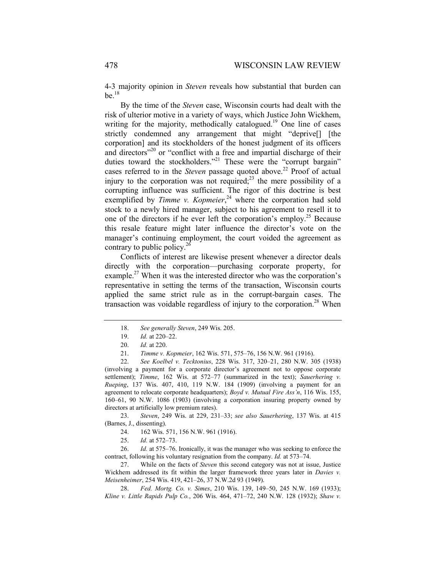4-3 majority opinion in *Steven* reveals how substantial that burden can  $be.$ <sup>18</sup>

By the time of the *Steven* case, Wisconsin courts had dealt with the risk of ulterior motive in a variety of ways, which Justice John Wickhem, writing for the majority, methodically catalogued.<sup>19</sup> One line of cases strictly condemned any arrangement that might "deprive[] [the corporation] and its stockholders of the honest judgment of its officers and directors"<sup>20</sup> or "conflict with a free and impartial discharge of their duties toward the stockholders."<sup>21</sup> These were the "corrupt bargain" cases referred to in the *Steven* passage quoted above.<sup>22</sup> Proof of actual injury to the corporation was not required; $2<sup>3</sup>$  the mere possibility of a corrupting influence was sufficient. The rigor of this doctrine is best exemplified by *Timme v. Kopmeier*<sup>24</sup>, where the corporation had sold stock to a newly hired manager, subject to his agreement to resell it to one of the directors if he ever left the corporation's employ.<sup>25</sup> Because this resale feature might later influence the director's vote on the manager's continuing employment, the court voided the agreement as contrary to public policy.<sup>26</sup>

Conflicts of interest are likewise present whenever a director deals directly with the corporation—purchasing corporate property, for example.<sup>27</sup> When it was the interested director who was the corporation's representative in setting the terms of the transaction, Wisconsin courts applied the same strict rule as in the corrupt-bargain cases. The transaction was voidable regardless of injury to the corporation.<sup>28</sup> When

23. *Steven*, 249 Wis. at 229, 231–33; *see also Sauerhering*, 137 Wis. at 415 (Barnes, J., dissenting).

- 24. 162 Wis. 571, 156 N.W. 961 (1916).
- 25. *Id.* at 572–73.

26. *Id.* at 575–76. Ironically, it was the manager who was seeking to enforce the contract, following his voluntary resignation from the company. *Id.* at 573–74.

27. While on the facts of *Steven* this second category was not at issue, Justice Wickhem addressed its fit within the larger framework three years later in *Davies v. Meisenheimer*, 254 Wis. 419, 421–26, 37 N.W.2d 93 (1949).

28. *Fed. Mortg. Co. v. Simes*, 210 Wis. 139, 149–50, 245 N.W. 169 (1933); *Kline v. Little Rapids Pulp Co.*, 206 Wis. 464, 471–72, 240 N.W. 128 (1932); *Shaw v.* 

<sup>18.</sup> *See generally Steven*, 249 Wis. 205.

<sup>19.</sup> *Id.* at 220–22.

<sup>20.</sup> *Id.* at 220.

<sup>21.</sup> *Timme v. Kopmeier*, 162 Wis. 571, 575–76, 156 N.W. 961 (1916).

<sup>22.</sup> *See Koelbel v. Tecktonius*, 228 Wis. 317, 320–21, 280 N.W. 305 (1938) (involving a payment for a corporate director's agreement not to oppose corporate settlement); *Timme*, 162 Wis. at 572–77 (summarized in the text); *Sauerhering v. Rueping*, 137 Wis. 407, 410, 119 N.W. 184 (1909) (involving a payment for an agreement to relocate corporate headquarters); *Boyd v. Mutual Fire Ass'n*, 116 Wis. 155, 160–61, 90 N.W. 1086 (1903) (involving a corporation insuring property owned by directors at artificially low premium rates).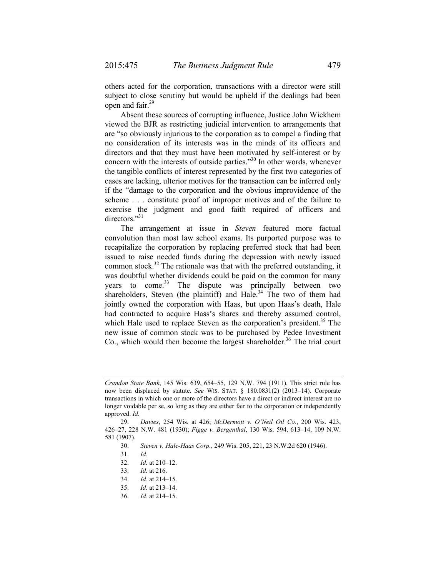others acted for the corporation, transactions with a director were still subject to close scrutiny but would be upheld if the dealings had been open and fair.<sup>29</sup>

Absent these sources of corrupting influence, Justice John Wickhem viewed the BJR as restricting judicial intervention to arrangements that are "so obviously injurious to the corporation as to compel a finding that no consideration of its interests was in the minds of its officers and directors and that they must have been motivated by self-interest or by concern with the interests of outside parties."30 In other words, whenever the tangible conflicts of interest represented by the first two categories of cases are lacking, ulterior motives for the transaction can be inferred only if the "damage to the corporation and the obvious improvidence of the scheme . . . constitute proof of improper motives and of the failure to exercise the judgment and good faith required of officers and directors."<sup>31</sup>

The arrangement at issue in *Steven* featured more factual convolution than most law school exams. Its purported purpose was to recapitalize the corporation by replacing preferred stock that had been issued to raise needed funds during the depression with newly issued common stock.<sup>32</sup> The rationale was that with the preferred outstanding, it was doubtful whether dividends could be paid on the common for many years to come.<sup>33</sup> The dispute was principally between two shareholders, Steven (the plaintiff) and Hale.<sup>34</sup> The two of them had jointly owned the corporation with Haas, but upon Haas's death, Hale had contracted to acquire Hass's shares and thereby assumed control, which Hale used to replace Steven as the corporation's president.<sup>35</sup> The new issue of common stock was to be purchased by Pedee Investment Co., which would then become the largest shareholder.<sup>36</sup> The trial court

*Crandon State Bank*, 145 Wis. 639, 654–55, 129 N.W. 794 (1911). This strict rule has now been displaced by statute. *See* WIS. STAT. § 180.0831(2) (2013–14). Corporate transactions in which one or more of the directors have a direct or indirect interest are no longer voidable per se, so long as they are either fair to the corporation or independently approved. *Id.*

<sup>29.</sup> *Davies*, 254 Wis. at 426; *McDermott v. O'Neil Oil Co.*, 200 Wis. 423, 426–27, 228 N.W. 481 (1930); *Figge v. Bergenthal*, 130 Wis. 594, 613–14, 109 N.W. 581 (1907).

<sup>30.</sup> *Steven v. Hale-Haas Corp.*, 249 Wis. 205, 221, 23 N.W.2d 620 (1946).

<sup>31.</sup> *Id.*

<sup>32.</sup> *Id.* at 210–12.

<sup>33.</sup> *Id.* at 216.

<sup>34.</sup> *Id.* at 214–15.

<sup>35.</sup> *Id.* at 213–14.

<sup>36.</sup> *Id.* at 214–15.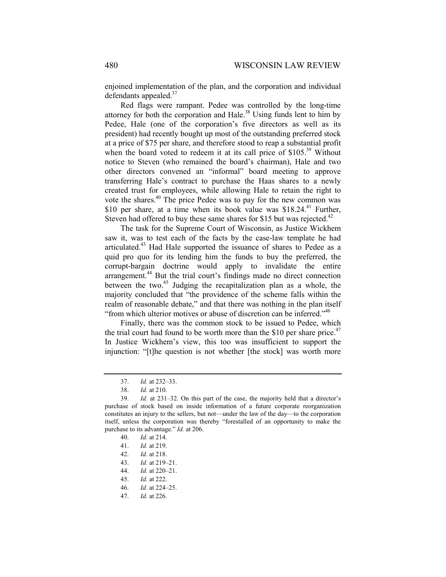enjoined implementation of the plan, and the corporation and individual defendants appealed.<sup>37</sup>

Red flags were rampant. Pedee was controlled by the long-time attorney for both the corporation and Hale. $^{38}$  Using funds lent to him by Pedee, Hale (one of the corporation's five directors as well as its president) had recently bought up most of the outstanding preferred stock at a price of \$75 per share, and therefore stood to reap a substantial profit when the board voted to redeem it at its call price of  $$105<sup>39</sup>$  Without notice to Steven (who remained the board's chairman), Hale and two other directors convened an "informal" board meeting to approve transferring Hale's contract to purchase the Haas shares to a newly created trust for employees, while allowing Hale to retain the right to vote the shares.<sup>40</sup> The price Pedee was to pay for the new common was \$10 per share, at a time when its book value was  $$18.24<sup>41</sup>$  Further, Steven had offered to buy these same shares for \$15 but was rejected.<sup>42</sup>

The task for the Supreme Court of Wisconsin, as Justice Wickhem saw it, was to test each of the facts by the case-law template he had articulated.<sup>43</sup> Had Hale supported the issuance of shares to Pedee as a quid pro quo for its lending him the funds to buy the preferred, the corrupt-bargain doctrine would apply to invalidate the entire arrangement.<sup>44</sup> But the trial court's findings made no direct connection between the two.<sup>45</sup> Judging the recapitalization plan as a whole, the majority concluded that "the providence of the scheme falls within the realm of reasonable debate," and that there was nothing in the plan itself "from which ulterior motives or abuse of discretion can be inferred."<sup>46</sup>

Finally, there was the common stock to be issued to Pedee, which the trial court had found to be worth more than the \$10 per share price.<sup>47</sup> In Justice Wickhem's view, this too was insufficient to support the injunction: "[t]he question is not whether [the stock] was worth more

<sup>37.</sup> *Id.* at 232–33.

<sup>38.</sup> *Id.* at 210.

<sup>39.</sup> *Id.* at 231–32. On this part of the case, the majority held that a director's purchase of stock based on inside information of a future corporate reorganization constitutes an injury to the sellers, but not—under the law of the day—to the corporation itself, unless the corporation was thereby "forestalled of an opportunity to make the purchase to its advantage." *Id.* at 206.

<sup>40.</sup> *Id.* at 214.

<sup>41.</sup> *Id.* at 219.

<sup>42.</sup> *Id.* at 218.

<sup>43.</sup> *Id.* at 219–21.

<sup>44.</sup> *Id.* at 220–21.

<sup>45.</sup> *Id.* at 222.

<sup>46.</sup> *Id.* at 224–25.

<sup>47.</sup> *Id.* at 226.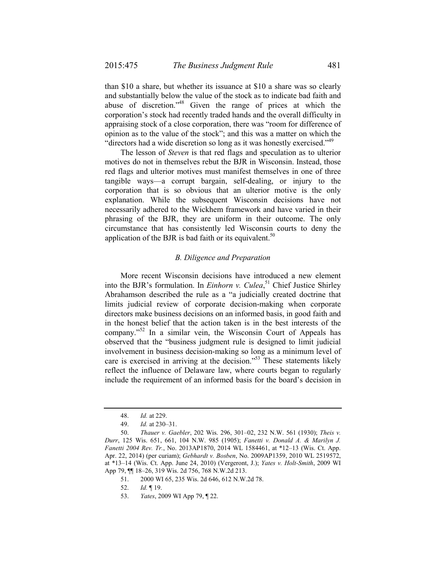than \$10 a share, but whether its issuance at \$10 a share was so clearly and substantially below the value of the stock as to indicate bad faith and abuse of discretion."48 Given the range of prices at which the corporation's stock had recently traded hands and the overall difficulty in appraising stock of a close corporation, there was "room for difference of opinion as to the value of the stock"; and this was a matter on which the "directors had a wide discretion so long as it was honestly exercised."<sup>49</sup>

The lesson of *Steven* is that red flags and speculation as to ulterior motives do not in themselves rebut the BJR in Wisconsin. Instead, those red flags and ulterior motives must manifest themselves in one of three tangible ways—a corrupt bargain, self-dealing, or injury to the corporation that is so obvious that an ulterior motive is the only explanation. While the subsequent Wisconsin decisions have not necessarily adhered to the Wickhem framework and have varied in their phrasing of the BJR, they are uniform in their outcome. The only circumstance that has consistently led Wisconsin courts to deny the application of the BJR is bad faith or its equivalent.<sup>50</sup>

# *B. Diligence and Preparation*

More recent Wisconsin decisions have introduced a new element into the BJR's formulation. In *Einhorn v. Culea*, 51 Chief Justice Shirley Abrahamson described the rule as a "a judicially created doctrine that limits judicial review of corporate decision-making when corporate directors make business decisions on an informed basis, in good faith and in the honest belief that the action taken is in the best interests of the company."<sup>52</sup> In a similar vein, the Wisconsin Court of Appeals has observed that the "business judgment rule is designed to limit judicial involvement in business decision-making so long as a minimum level of care is exercised in arriving at the decision."<sup>53</sup> These statements likely reflect the influence of Delaware law, where courts began to regularly include the requirement of an informed basis for the board's decision in

<sup>48.</sup> *Id.* at 229.

<sup>49.</sup> *Id.* at 230–31.

<sup>50.</sup> *Thauer v. Gaebler*, 202 Wis. 296, 301–02, 232 N.W. 561 (1930); *Theis v. Durr*, 125 Wis. 651, 661, 104 N.W. 985 (1905); *Fanetti v. Donald A. & Marilyn J. Fanetti 2004 Rev. Tr.*, No. 2013AP1870, 2014 WL 1584461, at \*12–13 (Wis. Ct. App. Apr. 22, 2014) (per curiam); *Gebhardt v. Bosben*, No. 2009AP1359, 2010 WL 2519572, at \*13–14 (Wis. Ct. App. June 24, 2010) (Vergeront, J.); *Yates v. Holt-Smith*, 2009 WI App 79, ¶¶ 18–26, 319 Wis. 2d 756, 768 N.W.2d 213.

<sup>51.</sup> 2000 WI 65, 235 Wis. 2d 646, 612 N.W.2d 78.

<sup>52.</sup> *Id.* ¶ 19.

<sup>53.</sup> *Yates*, 2009 WI App 79, ¶ 22.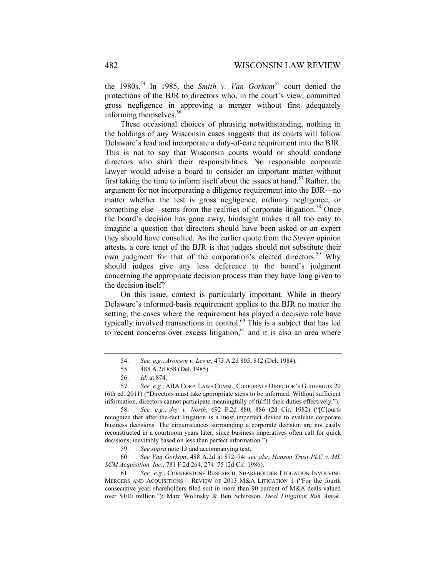the 1980s.<sup>54</sup> In 1985, the *Smith v. Van Gorkom*<sup>55</sup> court denied the protections of the BJR to directors who, in the court's view, committed gross negligence in approving a merger without first adequately informing themselves.<sup>56</sup>

These occasional choices of phrasing notwithstanding, nothing in the holdings of any Wisconsin cases suggests that its courts will follow Delaware's lead and incorporate a duty-of-care requirement into the BJR. This is not to say that Wisconsin courts would or should condone directors who shirk their responsibilities. No responsible corporate lawyer would advise a board to consider an important matter without first taking the time to inform itself about the issues at hand.<sup>57</sup> Rather, the argument for not incorporating a diligence requirement into the BJR—no matter whether the test is gross negligence, ordinary negligence, or something else—stems from the realities of corporate litigation.<sup>58</sup> Once the board's decision has gone awry, hindsight makes it all too easy to imagine a question that directors should have been asked or an expert they should have consulted. As the earlier quote from the *Steven* opinion attests, a core tenet of the BJR is that judges should not substitute their own judgment for that of the corporation's elected directors.<sup>59</sup> Why should judges give any less deference to the board's judgment concerning the appropriate decision process than they have long given to the decision itself?

On this issue, context is particularly important. While in theory Delaware's informed-basis requirement applies to the BJR no matter the setting, the cases where the requirement has played a decisive role have typically involved transactions in control.<sup>60</sup> This is a subject that has led to recent concerns over excess litigation, $61$  and it is also an area where

<sup>54.</sup> *See, e.g.*, *Aronson v. Lewis*, 473 A.2d 805, 812 (Del. 1984).

<sup>55.</sup> 488 A.2d 858 (Del. 1985).

<sup>56.</sup> *Id.* at 874.

<sup>57.</sup> *See, e.g.*, ABA CORP. LAWS COMM., CORPORATE DIRECTOR'S GUIDEBOOK 20 (6th ed. 2011) ("Directors must take appropriate steps to be informed. Without sufficient information, directors cannot participate meaningfully of fulfill their duties effectively.").

<sup>58.</sup> *See, e.g.*, *Joy v. North*, 692 F.2d 880, 886 (2d Cir. 1982) ("[C]ourts recognize that after-the-fact litigation is a most imperfect device to evaluate corporate business decisions. The circumstances surrounding a corporate decision are not easily reconstructed in a courtroom years later, since business imperatives often call for quick decisions, inevitably based on less than perfect information.").

<sup>59.</sup> *See supra* note 13 and accompanying text.

<sup>60.</sup> *See Van Gorkom*, 488 A.2d at 872–74; *see also Hanson Trust PLC v. ML SCM Acquisition, Inc.*, 781 F.2d 264, 274–75 (2d Cir. 1986).

<sup>61.</sup> *See, e.g.*, CORNERSTONE RESEARCH, SHAREHOLDER LITIGATION INVOLVING MERGERS AND ACQUISITIONS – REVIEW OF 2013 M&A LITIGATION 1 ("For the fourth consecutive year, shareholders filed suit in more than 90 percent of M&A deals valued over \$100 million."); Marc Wolinsky & Ben Schireson, *Deal Litigation Run Amok:*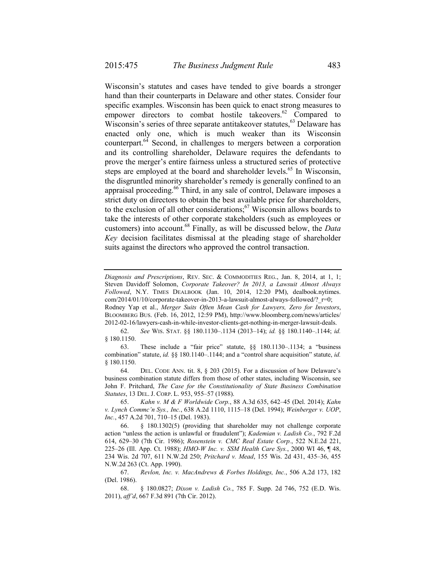Wisconsin's statutes and cases have tended to give boards a stronger hand than their counterparts in Delaware and other states. Consider four specific examples. Wisconsin has been quick to enact strong measures to empower directors to combat hostile takeovers.<sup>62</sup> Compared to Wisconsin's series of three separate antitakeover statutes,  $63$  Delaware has enacted only one, which is much weaker than its Wisconsin counterpart.64 Second, in challenges to mergers between a corporation and its controlling shareholder, Delaware requires the defendants to prove the merger's entire fairness unless a structured series of protective steps are employed at the board and shareholder levels.<sup>65</sup> In Wisconsin, the disgruntled minority shareholder's remedy is generally confined to an appraisal proceeding.<sup>66</sup> Third, in any sale of control, Delaware imposes a strict duty on directors to obtain the best available price for shareholders, to the exclusion of all other considerations; $67$  Wisconsin allows boards to take the interests of other corporate stakeholders (such as employees or customers) into account.68 Finally, as will be discussed below, the *Data Key* decision facilitates dismissal at the pleading stage of shareholder suits against the directors who approved the control transaction.

BLOOMBERG BUS. (Feb. 16, 2012, 12:59 PM), http://www.bloomberg.com/news/articles/ 2012-02-16/lawyers-cash-in-while-investor-clients-get-nothing-in-merger-lawsuit-deals.

62. *See* WIS. STAT. §§ 180.1130–.1134 (2013–14); *id.* §§ 180.1140–.1144; *id.* § 180.1150.

63. These include a "fair price" statute, §§ 180.1130–.1134; a "business combination" statute, *id.* §§ 180.1140–.1144; and a "control share acquisition" statute, *id.* § 180.1150.

64. DEL. CODE ANN. tit. 8, § 203 (2015). For a discussion of how Delaware's business combination statute differs from those of other states, including Wisconsin, see John F. Pritchard, *The Case for the Constitutionality of State Business Combination Statutes*, 13 DEL. J. CORP. L. 953, 955–57 (1988).

65. *Kahn v. M & F Worldwide Corp.*, 88 A.3d 635, 642–45 (Del. 2014); *Kahn v. Lynch Commc'n Sys., Inc.*, 638 A.2d 1110, 1115–18 (Del. 1994); *Weinberger v. UOP*, *Inc.*, 457 A.2d 701, 710–15 (Del. 1983).

67. *Revlon, Inc. v. MacAndrews & Forbes Holdings, Inc.*, 506 A.2d 173, 182 (Del. 1986).

*Diagnosis and Prescriptions*, REV. SEC. & COMMODITIES REG., Jan. 8, 2014, at 1, 1; Steven Davidoff Solomon, *Corporate Takeover? In 2013, a Lawsuit Almost Always Followed*, N.Y. TIMES DEALBOOK (Jan. 10, 2014, 12:20 PM), dealbook.nytimes. com/2014/01/10/corporate-takeover-in-2013-a-lawsuit-almost-always-followed/? r=0; Rodney Yap et al., *Merger Suits Often Mean Cash for Lawyers, Zero for Investors*,

<sup>66. § 180.1302(5) (</sup>providing that shareholder may not challenge corporate action "unless the action is unlawful or fraudulent"); *Kademian v. Ladish Co.*, 792 F.2d 614, 629–30 (7th Cir. 1986); *Rosenstein v. CMC Real Estate Corp.*, 522 N.E.2d 221, 225–26 (Ill. App. Ct. 1988); *HMO-W Inc. v. SSM Health Care Sys.*, 2000 WI 46, ¶ 48, 234 Wis. 2d 707, 611 N.W.2d 250; *Pritchard v. Mead*, 155 Wis. 2d 431, 435–36, 455 N.W.2d 263 (Ct. App. 1990).

 <sup>68. § 180.0827;</sup> *Dixon v. Ladish Co.*, 785 F. Supp. 2d 746, 752 (E.D. Wis. 2011), *aff'd*, 667 F.3d 891 (7th Cir. 2012).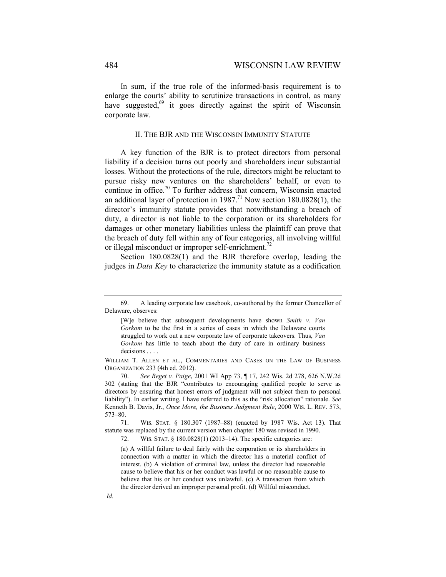In sum, if the true role of the informed-basis requirement is to enlarge the courts' ability to scrutinize transactions in control, as many have suggested,  $69$  it goes directly against the spirit of Wisconsin corporate law.

### II. THE BJR AND THE WISCONSIN IMMUNITY STATUTE

A key function of the BJR is to protect directors from personal liability if a decision turns out poorly and shareholders incur substantial losses. Without the protections of the rule, directors might be reluctant to pursue risky new ventures on the shareholders' behalf, or even to continue in office.<sup>70</sup> To further address that concern, Wisconsin enacted an additional layer of protection in 1987.<sup>71</sup> Now section 180.0828(1), the director's immunity statute provides that notwithstanding a breach of duty, a director is not liable to the corporation or its shareholders for damages or other monetary liabilities unless the plaintiff can prove that the breach of duty fell within any of four categories, all involving willful or illegal misconduct or improper self-enrichment.<sup>72</sup>

Section 180.0828(1) and the BJR therefore overlap, leading the judges in *Data Key* to characterize the immunity statute as a codification

<sup>69.</sup> A leading corporate law casebook, co-authored by the former Chancellor of Delaware, observes:

<sup>[</sup>W]e believe that subsequent developments have shown *Smith v. Van Gorkom* to be the first in a series of cases in which the Delaware courts struggled to work out a new corporate law of corporate takeovers. Thus, *Van Gorkom* has little to teach about the duty of care in ordinary business decisions . . . .

WILLIAM T. ALLEN ET AL., COMMENTARIES AND CASES ON THE LAW OF BUSINESS ORGANIZATION 233 (4th ed. 2012).

<sup>70.</sup> *See Reget v. Paige*, 2001 WI App 73, ¶ 17, 242 Wis. 2d 278, 626 N.W.2d 302 (stating that the BJR "contributes to encouraging qualified people to serve as directors by ensuring that honest errors of judgment will not subject them to personal liability"). In earlier writing, I have referred to this as the "risk allocation" rationale. *See* Kenneth B. Davis, Jr., *Once More, the Business Judgment Rule*, 2000 WIS. L. REV. 573, 573–80.

<sup>71.</sup> WIS. STAT. § 180.307 (1987–88) (enacted by 1987 Wis. Act 13). That statute was replaced by the current version when chapter 180 was revised in 1990.

<sup>72.</sup> WIS. STAT. § 180.0828(1) (2013–14). The specific categories are:

<sup>(</sup>a) A willful failure to deal fairly with the corporation or its shareholders in connection with a matter in which the director has a material conflict of interest. (b) A violation of criminal law, unless the director had reasonable cause to believe that his or her conduct was lawful or no reasonable cause to believe that his or her conduct was unlawful. (c) A transaction from which the director derived an improper personal profit. (d) Willful misconduct.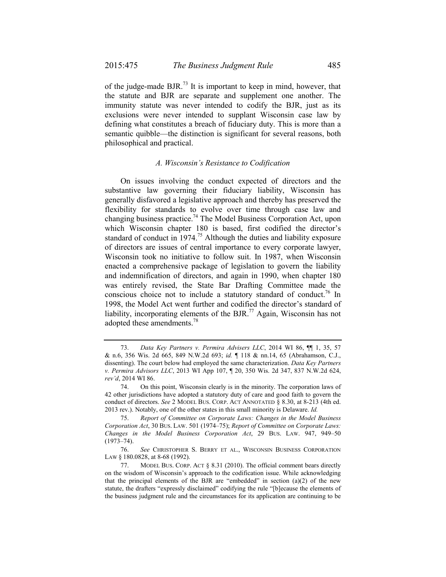of the judge-made BJR.73 It is important to keep in mind, however, that the statute and BJR are separate and supplement one another. The immunity statute was never intended to codify the BJR, just as its exclusions were never intended to supplant Wisconsin case law by defining what constitutes a breach of fiduciary duty. This is more than a semantic quibble—the distinction is significant for several reasons, both philosophical and practical.

### *A. Wisconsin's Resistance to Codification*

On issues involving the conduct expected of directors and the substantive law governing their fiduciary liability, Wisconsin has generally disfavored a legislative approach and thereby has preserved the flexibility for standards to evolve over time through case law and changing business practice.74 The Model Business Corporation Act, upon which Wisconsin chapter 180 is based, first codified the director's standard of conduct in 1974.<sup>75</sup> Although the duties and liability exposure of directors are issues of central importance to every corporate lawyer, Wisconsin took no initiative to follow suit. In 1987, when Wisconsin enacted a comprehensive package of legislation to govern the liability and indemnification of directors, and again in 1990, when chapter 180 was entirely revised, the State Bar Drafting Committee made the conscious choice not to include a statutory standard of conduct.<sup>76</sup> In 1998, the Model Act went further and codified the director's standard of liability, incorporating elements of the BJR.<sup>77</sup> Again, Wisconsin has not adopted these amendments.78

<sup>73.</sup> *Data Key Partners v. Permira Advisers LLC*, 2014 WI 86, ¶¶ 1, 35, 57 & n.6, 356 Wis. 2d 665, 849 N.W.2d 693; *id.* ¶ 118 & nn.14, 65 (Abrahamson, C.J., dissenting). The court below had employed the same characterization. *Data Key Partners v. Permira Advisors LLC*, 2013 WI App 107, ¶ 20, 350 Wis. 2d 347, 837 N.W.2d 624, *rev'd*, 2014 WI 86.

<sup>74.</sup> On this point, Wisconsin clearly is in the minority. The corporation laws of 42 other jurisdictions have adopted a statutory duty of care and good faith to govern the conduct of directors. *See* 2 MODEL BUS. CORP. ACT ANNOTATED § 8.30, at 8-213 (4th ed. 2013 rev.). Notably, one of the other states in this small minority is Delaware. *Id.*

<sup>75.</sup> *Report of Committee on Corporate Laws: Changes in the Model Business Corporation Act*, 30 BUS. LAW. 501 (1974–75); *Report of Committee on Corporate Laws: Changes in the Model Business Corporation Act*, 29 BUS. LAW. 947, 949–50 (1973–74).

<sup>76.</sup> *See* CHRISTOPHER S. BERRY ET AL., WISCONSIN BUSINESS CORPORATION LAW § 180.0828, at 8-68 (1992).

<sup>77.</sup> MODEL BUS. CORP. ACT § 8.31 (2010). The official comment bears directly on the wisdom of Wisconsin's approach to the codification issue. While acknowledging that the principal elements of the BJR are "embedded" in section  $(a)(2)$  of the new statute, the drafters "expressly disclaimed" codifying the rule "[b]ecause the elements of the business judgment rule and the circumstances for its application are continuing to be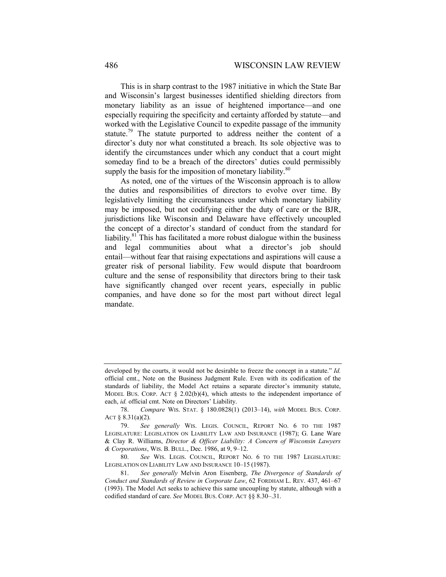This is in sharp contrast to the 1987 initiative in which the State Bar and Wisconsin's largest businesses identified shielding directors from monetary liability as an issue of heightened importance—and one especially requiring the specificity and certainty afforded by statute—and worked with the Legislative Council to expedite passage of the immunity statute.<sup>79</sup> The statute purported to address neither the content of a director's duty nor what constituted a breach. Its sole objective was to identify the circumstances under which any conduct that a court might someday find to be a breach of the directors' duties could permissibly supply the basis for the imposition of monetary liability.<sup>80</sup>

As noted, one of the virtues of the Wisconsin approach is to allow the duties and responsibilities of directors to evolve over time. By legislatively limiting the circumstances under which monetary liability may be imposed, but not codifying either the duty of care or the BJR, jurisdictions like Wisconsin and Delaware have effectively uncoupled the concept of a director's standard of conduct from the standard for liability.<sup>81</sup> This has facilitated a more robust dialogue within the business and legal communities about what a director's job should entail—without fear that raising expectations and aspirations will cause a greater risk of personal liability. Few would dispute that boardroom culture and the sense of responsibility that directors bring to their task have significantly changed over recent years, especially in public companies, and have done so for the most part without direct legal mandate.

developed by the courts, it would not be desirable to freeze the concept in a statute." *Id.* official cmt., Note on the Business Judgment Rule. Even with its codification of the standards of liability, the Model Act retains a separate director's immunity statute, MODEL BUS. CORP. ACT  $\S$  2.02(b)(4), which attests to the independent importance of each, *id.* official cmt. Note on Directors' Liability.

<sup>78.</sup> *Compare* WIS. STAT. § 180.0828(1) (2013–14), *with* MODEL BUS. CORP. ACT § 8.31(a)(2).

<sup>79.</sup> *See generally* WIS. LEGIS. COUNCIL, REPORT NO. 6 TO THE 1987 LEGISLATURE: LEGISLATION ON LIABILITY LAW AND INSURANCE (1987); G. Lane Ware & Clay R. Williams, *Director & Officer Liability: A Concern of Wisconsin Lawyers & Corporations*, WIS. B. BULL., Dec. 1986, at 9, 9–12.

<sup>80.</sup> *See* WIS. LEGIS. COUNCIL, REPORT NO. 6 TO THE 1987 LEGISLATURE: LEGISLATION ON LIABILITY LAW AND INSURANCE 10–15 (1987).

<sup>81.</sup> *See generally* Melvin Aron Eisenberg, *The Divergence of Standards of Conduct and Standards of Review in Corporate Law*, 62 FORDHAM L. REV. 437, 461–67 (1993). The Model Act seeks to achieve this same uncoupling by statute, although with a codified standard of care. *See* MODEL BUS. CORP. ACT §§ 8.30–.31.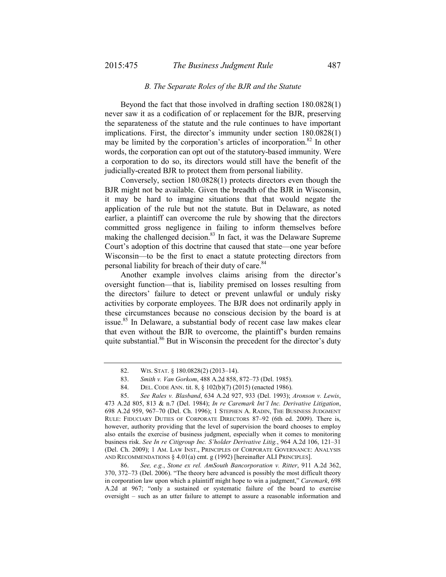### *B. The Separate Roles of the BJR and the Statute*

Beyond the fact that those involved in drafting section 180.0828(1) never saw it as a codification of or replacement for the BJR, preserving the separateness of the statute and the rule continues to have important implications. First, the director's immunity under section 180.0828(1) may be limited by the corporation's articles of incorporation.<sup>82</sup> In other words, the corporation can opt out of the statutory-based immunity. Were a corporation to do so, its directors would still have the benefit of the judicially-created BJR to protect them from personal liability.

Conversely, section 180.0828(1) protects directors even though the BJR might not be available. Given the breadth of the BJR in Wisconsin, it may be hard to imagine situations that that would negate the application of the rule but not the statute. But in Delaware, as noted earlier, a plaintiff can overcome the rule by showing that the directors committed gross negligence in failing to inform themselves before making the challenged decision.<sup>83</sup> In fact, it was the Delaware Supreme Court's adoption of this doctrine that caused that state—one year before Wisconsin—to be the first to enact a statute protecting directors from personal liability for breach of their duty of care.<sup>84</sup>

Another example involves claims arising from the director's oversight function—that is, liability premised on losses resulting from the directors' failure to detect or prevent unlawful or unduly risky activities by corporate employees. The BJR does not ordinarily apply in these circumstances because no conscious decision by the board is at issue.<sup>85</sup> In Delaware, a substantial body of recent case law makes clear that even without the BJR to overcome, the plaintiff's burden remains quite substantial.<sup>86</sup> But in Wisconsin the precedent for the director's duty

86. *See, e.g.*, *Stone ex rel. AmSouth Bancorporation v. Ritter*, 911 A.2d 362, 370, 372–73 (Del. 2006). "The theory here advanced is possibly the most difficult theory in corporation law upon which a plaintiff might hope to win a judgment," *Caremark*, 698 A.2d at 967; "only a sustained or systematic failure of the board to exercise oversight – such as an utter failure to attempt to assure a reasonable information and

<sup>82.</sup> WIS. STAT. § 180.0828(2) (2013–14).

<sup>83.</sup> *Smith v. Van Gorkom*, 488 A.2d 858, 872–73 (Del. 1985).

<sup>84.</sup> DEL. CODE ANN. tit. 8, § 102(b)(7) (2015) (enacted 1986).

<sup>85.</sup> *See Rales v. Blasband*, 634 A.2d 927, 933 (Del. 1993); *Aronson v. Lewis*,

<sup>473</sup> A.2d 805, 813 & n.7 (Del. 1984); *In re Caremark Int'l Inc. Derivative Litigation*, 698 A.2d 959, 967–70 (Del. Ch. 1996); 1 STEPHEN A. RADIN, THE BUSINESS JUDGMENT RULE: FIDUCIARY DUTIES OF CORPORATE DIRECTORS 87–92 (6th ed. 2009). There is, however, authority providing that the level of supervision the board chooses to employ also entails the exercise of business judgment, especially when it comes to monitoring business risk. *See In re Citigroup Inc. S'holder Derivative Litig.*, 964 A.2d 106, 121–31 (Del. Ch. 2009); 1 AM. LAW INST., PRINCIPLES OF CORPORATE GOVERNANCE: ANALYSIS AND RECOMMENDATIONS § 4.01(a) cmt. g (1992) [hereinafter ALI PRINCIPLES].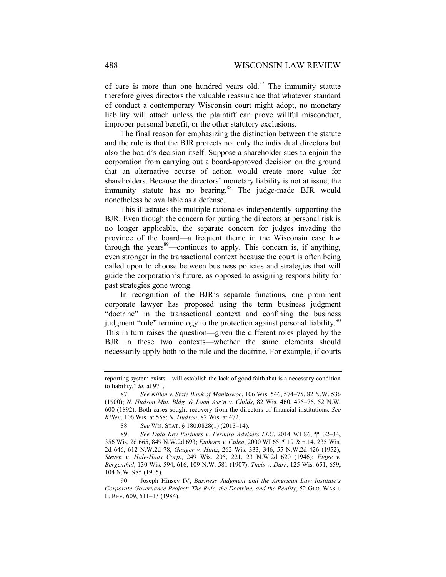of care is more than one hundred years old. $87$  The immunity statute therefore gives directors the valuable reassurance that whatever standard of conduct a contemporary Wisconsin court might adopt, no monetary liability will attach unless the plaintiff can prove willful misconduct, improper personal benefit, or the other statutory exclusions.

The final reason for emphasizing the distinction between the statute and the rule is that the BJR protects not only the individual directors but also the board's decision itself. Suppose a shareholder sues to enjoin the corporation from carrying out a board-approved decision on the ground that an alternative course of action would create more value for shareholders. Because the directors' monetary liability is not at issue, the immunity statute has no bearing.<sup>88</sup> The judge-made BJR would nonetheless be available as a defense.

This illustrates the multiple rationales independently supporting the BJR. Even though the concern for putting the directors at personal risk is no longer applicable, the separate concern for judges invading the province of the board—a frequent theme in the Wisconsin case law through the years<sup>89</sup>—continues to apply. This concern is, if anything, even stronger in the transactional context because the court is often being called upon to choose between business policies and strategies that will guide the corporation's future, as opposed to assigning responsibility for past strategies gone wrong.

In recognition of the BJR's separate functions, one prominent corporate lawyer has proposed using the term business judgment "doctrine" in the transactional context and confining the business judgment "rule" terminology to the protection against personal liability.<sup>9</sup> This in turn raises the question—given the different roles played by the BJR in these two contexts—whether the same elements should necessarily apply both to the rule and the doctrine. For example, if courts

reporting system exists – will establish the lack of good faith that is a necessary condition to liability," *id.* at 971.

<sup>87.</sup> *See Killen v. State Bank of Manitowoc*, 106 Wis. 546, 574–75, 82 N.W. 536 (1900); *N. Hudson Mut. Bldg. & Loan Ass'n v. Childs*, 82 Wis. 460, 475–76, 52 N.W. 600 (1892). Both cases sought recovery from the directors of financial institutions. *See Killen*, 106 Wis. at 558; *N. Hudson*, 82 Wis. at 472.

<sup>88.</sup> *See* WIS. STAT. § 180.0828(1) (2013–14).

<sup>89.</sup> *See Data Key Partners v. Permira Advisers LLC*, 2014 WI 86, ¶¶ 32–34, 356 Wis. 2d 665, 849 N.W.2d 693; *Einhorn v. Culea*, 2000 WI 65, ¶ 19 & n.14, 235 Wis. 2d 646, 612 N.W.2d 78; *Gauger v. Hintz*, 262 Wis. 333, 346, 55 N.W.2d 426 (1952); *Steven v. Hale-Haas Corp*., 249 Wis. 205, 221, 23 N.W.2d 620 (1946); *Figge v. Bergenthal*, 130 Wis. 594, 616, 109 N.W. 581 (1907); *Theis v. Durr*, 125 Wis. 651, 659, 104 N.W. 985 (1905).

<sup>90.</sup> Joseph Hinsey IV, *Business Judgment and the American Law Institute's Corporate Governance Project: The Rule, the Doctrine, and the Reality*, 52 GEO. WASH. L. REV. 609, 611–13 (1984).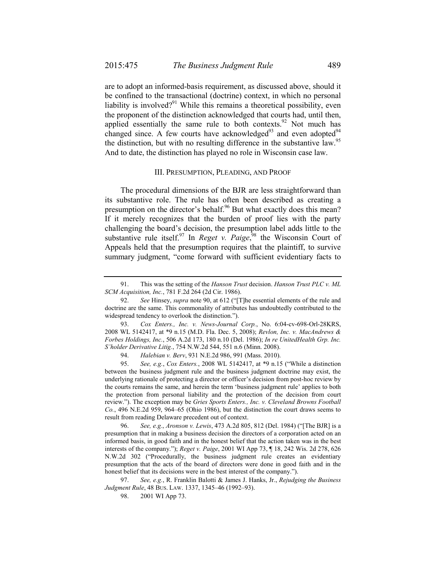are to adopt an informed-basis requirement, as discussed above, should it be confined to the transactional (doctrine) context, in which no personal liability is involved?<sup>91</sup> While this remains a theoretical possibility, even the proponent of the distinction acknowledged that courts had, until then, applied essentially the same rule to both contexts.<sup>92</sup> Not much has changed since. A few courts have acknowledged<sup>93</sup> and even adopted<sup>94</sup> the distinction, but with no resulting difference in the substantive law.<sup>95</sup> And to date, the distinction has played no role in Wisconsin case law.

### III. PRESUMPTION, PLEADING, AND PROOF

The procedural dimensions of the BJR are less straightforward than its substantive role. The rule has often been described as creating a presumption on the director's behalf.<sup>96</sup> But what exactly does this mean? If it merely recognizes that the burden of proof lies with the party challenging the board's decision, the presumption label adds little to the substantive rule itself.<sup>97</sup> In *Reget v. Paige*,<sup>98</sup> the Wisconsin Court of Appeals held that the presumption requires that the plaintiff, to survive summary judgment, "come forward with sufficient evidentiary facts to

<sup>91.</sup> This was the setting of the *Hanson Trust* decision. *Hanson Trust PLC v. ML SCM Acquisition, Inc.*, 781 F.2d 264 (2d Cir. 1986).

<sup>92.</sup> *See* Hinsey, *supra* note 90, at 612 ("[T]he essential elements of the rule and doctrine are the same. This commonality of attributes has undoubtedly contributed to the widespread tendency to overlook the distinction.").

<sup>93.</sup> *Cox Enters., Inc. v. News-Journal Corp.*, No. 6:04-cv-698-Orl-28KRS, 2008 WL 5142417, at \*9 n.15 (M.D. Fla. Dec. 5, 2008); *Revlon, Inc. v. MacAndrews & Forbes Holdings, Inc.*, 506 A.2d 173, 180 n.10 (Del. 1986); *In re UnitedHealth Grp. Inc. S'holder Derivative Litig.*, 754 N.W.2d 544, 551 n.6 (Minn. 2008).

<sup>94.</sup> *Halebian v. Berv*, 931 N.E.2d 986, 991 (Mass. 2010).

<sup>95.</sup> *See, e.g.*, *Cox Enters.*, 2008 WL 5142417, at \*9 n.15 ("While a distinction between the business judgment rule and the business judgment doctrine may exist, the underlying rationale of protecting a director or officer's decision from post-hoc review by the courts remains the same, and herein the term 'business judgment rule' applies to both the protection from personal liability and the protection of the decision from court review."). The exception may be *Gries Sports Enters., Inc. v. Cleveland Browns Football Co.*, 496 N.E.2d 959, 964–65 (Ohio 1986), but the distinction the court draws seems to result from reading Delaware precedent out of context.

<sup>96.</sup> *See, e.g.*, *Aronson v. Lewis*, 473 A.2d 805, 812 (Del. 1984) ("[The BJR] is a presumption that in making a business decision the directors of a corporation acted on an informed basis, in good faith and in the honest belief that the action taken was in the best interests of the company."); *Reget v. Paige*, 2001 WI App 73, ¶ 18, 242 Wis. 2d 278, 626 N.W.2d 302 ("Procedurally, the business judgment rule creates an evidentiary presumption that the acts of the board of directors were done in good faith and in the honest belief that its decisions were in the best interest of the company.").

<sup>97.</sup> *See, e.g.*, R. Franklin Balotti & James J. Hanks, Jr., *Rejudging the Business Judgment Rule*, 48 BUS. LAW. 1337, 1345–46 (1992–93).

<sup>98.</sup> 2001 WI App 73.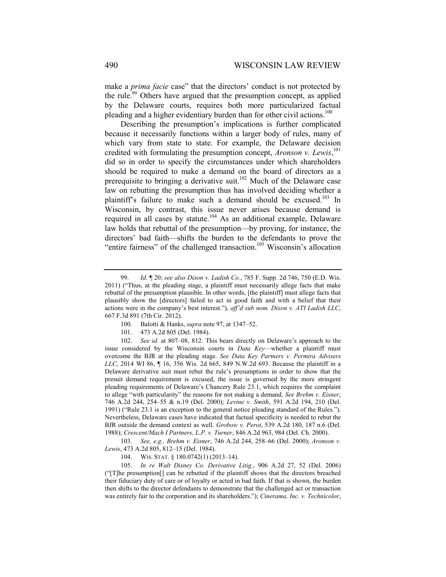make a *prima facie* case" that the directors' conduct is not protected by the rule.<sup>99</sup> Others have argued that the presumption concept, as applied by the Delaware courts, requires both more particularized factual pleading and a higher evidentiary burden than for other civil actions.<sup>100</sup>

Describing the presumption's implications is further complicated because it necessarily functions within a larger body of rules, many of which vary from state to state. For example, the Delaware decision credited with formulating the presumption concept, *Aronson v. Lewis*, 101 did so in order to specify the circumstances under which shareholders should be required to make a demand on the board of directors as a prerequisite to bringing a derivative suit.<sup>102</sup> Much of the Delaware case law on rebutting the presumption thus has involved deciding whether a plaintiff's failure to make such a demand should be excused.<sup>103</sup> In Wisconsin, by contrast, this issue never arises because demand is required in all cases by statute.<sup>104</sup> As an additional example, Delaware law holds that rebuttal of the presumption—by proving, for instance, the directors' bad faith—shifts the burden to the defendants to prove the "entire fairness" of the challenged transaction.<sup>105</sup> Wisconsin's allocation

 103. *See, e.g., Brehm v. Eisner*, 746 A.2d 244, 258–66 (Del. 2000); *Aronson v. Lewis*, 473 A.2d 805, 812–15 (Del. 1984).

104. WIS. STAT. § 180.0742(1) (2013–14).

 105. *In re Walt Disney Co. Derivative Litig.*, 906 A.2d 27, 52 (Del. 2006) ("[T]he presumption[] can be rebutted if the plaintiff shows that the directors breached their fiduciary duty of care or of loyalty or acted in bad faith. If that is shown, the burden then shifts to the director defendants to demonstrate that the challenged act or transaction was entirely fair to the corporation and its shareholders."); *Cinerama, Inc. v. Technicolor*,

<sup>99.</sup> *Id.* ¶ 20; *see also Dixon v. Ladish Co.*, 785 F. Supp. 2d 746, 750 (E.D. Wis. 2011) ("Thus, at the pleading stage, a plaintiff must necessarily allege facts that make rebuttal of the presumption plausible. In other words, [the plaintiff] must allege facts that plausibly show the [directors] failed to act in good faith and with a belief that their actions were in the company's best interest."), *aff'd sub nom. Dixon v. ATI Ladish LLC*, 667 F.3d 891 (7th Cir. 2012).

<sup>100.</sup> Balotti & Hanks, *supra* note 97, at 1347–52.

<sup>101. 473</sup> A.2d 805 (Del. 1984).

 <sup>102.</sup> *See id.* at 807–08, 812. This bears directly on Delaware's approach to the issue considered by the Wisconsin courts in *Data Key*—whether a plaintiff must overcome the BJR at the pleading stage. *See Data Key Partners v. Permira Advisers LLC*, 2014 WI 86, ¶ 16, 356 Wis. 2d 665, 849 N.W.2d 693. Because the plaintiff in a Delaware derivative suit must rebut the rule's presumptions in order to show that the presuit demand requirement is excused, the issue is governed by the more stringent pleading requirements of Delaware's Chancery Rule 23.1, which requires the complaint to allege "with particularity" the reasons for not making a demand. *See Brehm v. Eisner*, 746 A.2d 244, 254–55 & n.19 (Del. 2000); *Levine v. Smith*, 591 A.2d 194, 210 (Del. 1991) ("Rule 23.1 is an exception to the general notice pleading standard of the Rules."). Nevertheless, Delaware cases have indicated that factual specificity is needed to rebut the BJR outside the demand context as well. *Grobow v. Perot*, 539 A.2d 180, 187 n.6 (Del. 1988); *Crescent/Mach I Partners, L.P. v. Turner*, 846 A.2d 963, 984 (Del. Ch. 2000).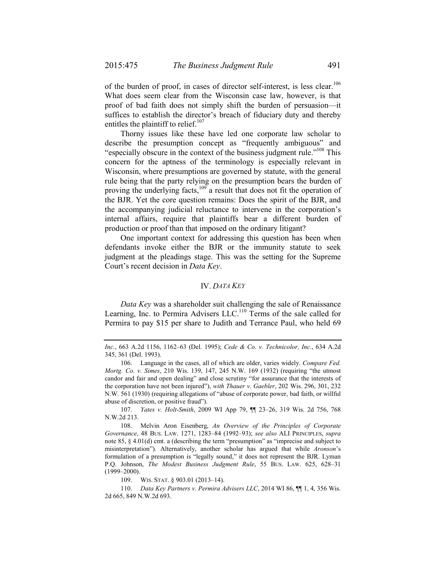of the burden of proof, in cases of director self-interest, is less clear.<sup>106</sup> What does seem clear from the Wisconsin case law, however, is that proof of bad faith does not simply shift the burden of persuasion—it suffices to establish the director's breach of fiduciary duty and thereby entitles the plaintiff to relief.<sup>107</sup>

Thorny issues like these have led one corporate law scholar to describe the presumption concept as "frequently ambiguous" and "especially obscure in the context of the business judgment rule."<sup>108</sup> This concern for the aptness of the terminology is especially relevant in Wisconsin, where presumptions are governed by statute, with the general rule being that the party relying on the presumption bears the burden of proving the underlying facts,<sup>109</sup> a result that does not fit the operation of the BJR. Yet the core question remains: Does the spirit of the BJR, and the accompanying judicial reluctance to intervene in the corporation's internal affairs, require that plaintiffs bear a different burden of production or proof than that imposed on the ordinary litigant?

One important context for addressing this question has been when defendants invoke either the BJR or the immunity statute to seek judgment at the pleadings stage. This was the setting for the Supreme Court's recent decision in *Data Key*.

# IV. *DATA KEY*

*Data Key* was a shareholder suit challenging the sale of Renaissance Learning, Inc. to Permira Advisers LLC.<sup>110</sup> Terms of the sale called for Permira to pay \$15 per share to Judith and Terrance Paul, who held 69

*Inc.*, 663 A.2d 1156, 1162–63 (Del. 1995); *Cede & Co. v. Technicolor, Inc.*, 634 A.2d 345, 361 (Del. 1993).

<sup>106.</sup> Language in the cases, all of which are older, varies widely. *Compare Fed. Mortg. Co. v. Simes*, 210 Wis. 139, 147, 245 N.W. 169 (1932) (requiring "the utmost candor and fair and open dealing" and close scrutiny "for assurance that the interests of the corporation have not been injured"), *with Thauer v. Gaebler*, 202 Wis. 296, 301, 232 N.W. 561 (1930) (requiring allegations of "abuse of corporate power, bad faith, or willful abuse of discretion, or positive fraud").

 <sup>107.</sup> *Yates v. Holt-Smith*, 2009 WI App 79, ¶¶ 23–26, 319 Wis. 2d 756, 768 N.W.2d 213.

<sup>108.</sup> Melvin Aron Eisenberg, *An Overview of the Principles of Corporate Governance*, 48 BUS. LAW. 1271, 1283–84 (1992–93); *see also* ALI PRINCIPLES, *supra*  note 85, § 4.01(d) cmt. a (describing the term "presumption" as "imprecise and subject to misinterpretation"). Alternatively, another scholar has argued that while *Aronson*'s formulation of a presumption is "legally sound," it does not represent the BJR. Lyman P.Q. Johnson, *The Modest Business Judgment Rule*, 55 BUS. LAW. 625, 628–31 (1999–2000).

 <sup>109.</sup> WIS. STAT. § 903.01 (2013–14).

 <sup>110.</sup> *Data Key Partners v. Permira Advisers LLC*, 2014 WI 86, ¶¶ 1, 4, 356 Wis. 2d 665, 849 N.W.2d 693.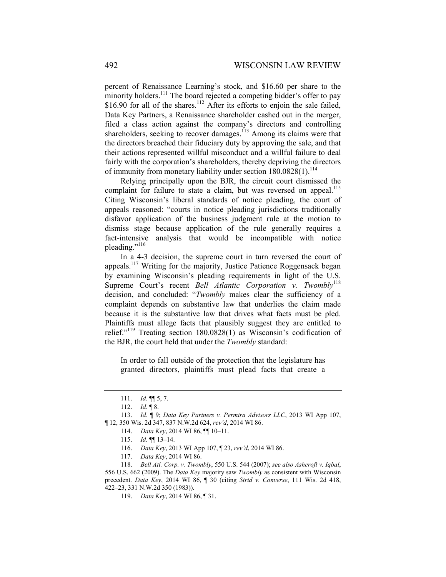percent of Renaissance Learning's stock, and \$16.60 per share to the minority holders.<sup>111</sup> The board rejected a competing bidder's offer to pay \$16.90 for all of the shares.<sup>112</sup> After its efforts to enjoin the sale failed, Data Key Partners, a Renaissance shareholder cashed out in the merger, filed a class action against the company's directors and controlling shareholders, seeking to recover damages.<sup>113</sup> Among its claims were that the directors breached their fiduciary duty by approving the sale, and that their actions represented willful misconduct and a willful failure to deal fairly with the corporation's shareholders, thereby depriving the directors of immunity from monetary liability under section  $180.0828(1)$ .<sup>114</sup>

Relying principally upon the BJR, the circuit court dismissed the complaint for failure to state a claim, but was reversed on appeal.<sup>115</sup> Citing Wisconsin's liberal standards of notice pleading, the court of appeals reasoned: "courts in notice pleading jurisdictions traditionally disfavor application of the business judgment rule at the motion to dismiss stage because application of the rule generally requires a fact-intensive analysis that would be incompatible with notice pleading."<sup>116</sup>

In a 4-3 decision, the supreme court in turn reversed the court of appeals.117 Writing for the majority, Justice Patience Roggensack began by examining Wisconsin's pleading requirements in light of the U.S. Supreme Court's recent *Bell Atlantic Corporation v. Twombly*<sup>118</sup> decision, and concluded: "*Twombly* makes clear the sufficiency of a complaint depends on substantive law that underlies the claim made because it is the substantive law that drives what facts must be pled. Plaintiffs must allege facts that plausibly suggest they are entitled to relief."119 Treating section 180.0828(1) as Wisconsin's codification of the BJR, the court held that under the *Twombly* standard:

In order to fall outside of the protection that the legislature has granted directors, plaintiffs must plead facts that create a

116. *Data Key*, 2013 WI App 107, ¶ 23, *rev'd*, 2014 WI 86.

117. *Data Key*, 2014 WI 86.

 <sup>111.</sup> *Id.* ¶¶ 5, 7.

 <sup>112.</sup> *Id.* ¶ 8.

 <sup>113.</sup> *Id.* ¶ 9; *Data Key Partners v. Permira Advisors LLC*, 2013 WI App 107, ¶ 12, 350 Wis. 2d 347, 837 N.W.2d 624, *rev'd*, 2014 WI 86.

 <sup>114.</sup> *Data Key*, 2014 WI 86, ¶¶ 10–11.

 <sup>115.</sup> *Id.* ¶¶ 13–14.

 <sup>118.</sup> *Bell Atl. Corp. v. Twombly*, 550 U.S. 544 (2007); *see also Ashcroft v. Iqbal*, 556 U.S. 662 (2009). The *Data Key* majority saw *Twombly* as consistent with Wisconsin precedent. *Data Key*, 2014 WI 86, ¶ 30 (citing *Strid v. Converse*, 111 Wis. 2d 418, 422–23, 331 N.W.2d 350 (1983)).

 <sup>119.</sup> *Data Key*, 2014 WI 86, ¶ 31.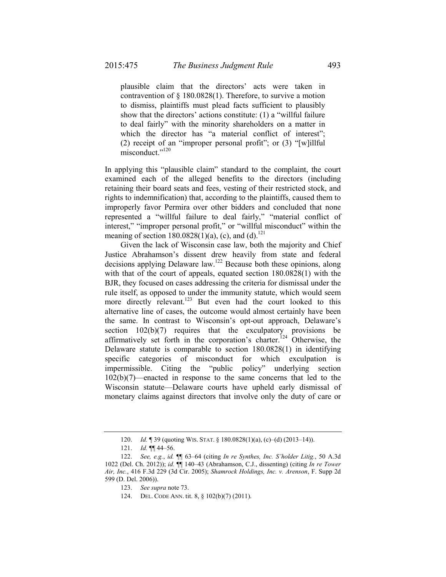plausible claim that the directors' acts were taken in contravention of § 180.0828(1). Therefore, to survive a motion to dismiss, plaintiffs must plead facts sufficient to plausibly show that the directors' actions constitute: (1) a "willful failure to deal fairly" with the minority shareholders on a matter in which the director has "a material conflict of interest"; (2) receipt of an "improper personal profit"; or (3) "[w]illful misconduct."<sup>120</sup>

In applying this "plausible claim" standard to the complaint, the court examined each of the alleged benefits to the directors (including retaining their board seats and fees, vesting of their restricted stock, and rights to indemnification) that, according to the plaintiffs, caused them to improperly favor Permira over other bidders and concluded that none represented a "willful failure to deal fairly," "material conflict of interest," "improper personal profit," or "willful misconduct" within the meaning of section  $180.0828(1)(a)$ , (c), and (d).<sup>121</sup>

Given the lack of Wisconsin case law, both the majority and Chief Justice Abrahamson's dissent drew heavily from state and federal decisions applying Delaware law.122 Because both these opinions, along with that of the court of appeals, equated section 180.0828(1) with the BJR, they focused on cases addressing the criteria for dismissal under the rule itself, as opposed to under the immunity statute, which would seem more directly relevant.<sup>123</sup> But even had the court looked to this alternative line of cases, the outcome would almost certainly have been the same. In contrast to Wisconsin's opt-out approach, Delaware's section 102(b)(7) requires that the exculpatory provisions be affirmatively set forth in the corporation's charter.<sup>124</sup> Otherwise, the Delaware statute is comparable to section 180.0828(1) in identifying specific categories of misconduct for which exculpation is impermissible. Citing the "public policy" underlying section 102(b)(7)—enacted in response to the same concerns that led to the Wisconsin statute—Delaware courts have upheld early dismissal of monetary claims against directors that involve only the duty of care or

- 123. *See supra* note 73.
- 124. DEL. CODE ANN. tit. 8, § 102(b)(7) (2011).

 <sup>120.</sup> *Id.* ¶ 39 (quoting WIS. STAT. § 180.0828(1)(a), (c)–(d) (2013–14)).

 <sup>121.</sup> *Id.* ¶¶ 44–56.

 <sup>122.</sup> *See, e.g.*, *id.* ¶¶ 63–64 (citing *In re Synthes, Inc. S'holder Litig.*, 50 A.3d 1022 (Del. Ch. 2012)); *id.* ¶¶ 140–43 (Abrahamson, C.J., dissenting) (citing *In re Tower Air, Inc.*, 416 F.3d 229 (3d Cir. 2005); *Shamrock Holdings, Inc. v. Arenson*, F. Supp 2d 599 (D. Del. 2006)).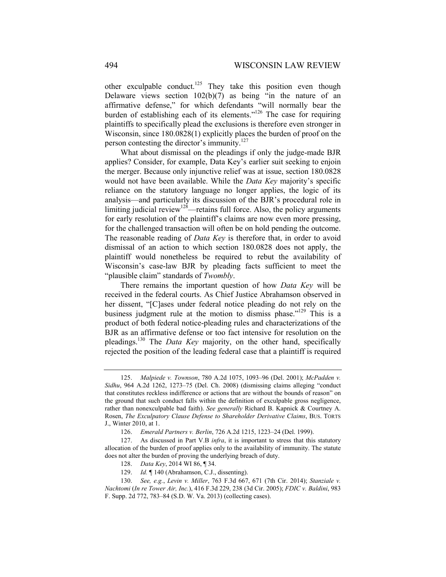other exculpable conduct.<sup>125</sup> They take this position even though Delaware views section  $102(b)(7)$  as being "in the nature of an affirmative defense," for which defendants "will normally bear the burden of establishing each of its elements."<sup>126</sup> The case for requiring plaintiffs to specifically plead the exclusions is therefore even stronger in Wisconsin, since 180.0828(1) explicitly places the burden of proof on the person contesting the director's immunity.127

What about dismissal on the pleadings if only the judge-made BJR applies? Consider, for example, Data Key's earlier suit seeking to enjoin the merger. Because only injunctive relief was at issue, section 180.0828 would not have been available. While the *Data Key* majority's specific reliance on the statutory language no longer applies, the logic of its analysis—and particularly its discussion of the BJR's procedural role in limiting judicial review<sup>128</sup>—retains full force. Also, the policy arguments for early resolution of the plaintiff's claims are now even more pressing, for the challenged transaction will often be on hold pending the outcome. The reasonable reading of *Data Key* is therefore that, in order to avoid dismissal of an action to which section 180.0828 does not apply, the plaintiff would nonetheless be required to rebut the availability of Wisconsin's case-law BJR by pleading facts sufficient to meet the "plausible claim" standards of *Twombly*.

There remains the important question of how *Data Key* will be received in the federal courts. As Chief Justice Abrahamson observed in her dissent, "[C]ases under federal notice pleading do not rely on the business judgment rule at the motion to dismiss phase."<sup>129</sup> This is a product of both federal notice-pleading rules and characterizations of the BJR as an affirmative defense or too fact intensive for resolution on the pleadings.130 The *Data Key* majority, on the other hand, specifically rejected the position of the leading federal case that a plaintiff is required

 <sup>125.</sup> *Malpiede v. Townson*, 780 A.2d 1075, 1093–96 (Del. 2001); *McPadden v. Sidhu*, 964 A.2d 1262, 1273–75 (Del. Ch. 2008) (dismissing claims alleging "conduct that constitutes reckless indifference or actions that are without the bounds of reason" on the ground that such conduct falls within the definition of exculpable gross negligence, rather than nonexculpable bad faith). *See generally* Richard B. Kapnick & Courtney A. Rosen, *The Exculpatory Clause Defense to Shareholder Derivative Claims*, BUS. TORTS J., Winter 2010, at 1.

 <sup>126.</sup> *Emerald Partners v. Berlin*, 726 A.2d 1215, 1223–24 (Del. 1999).

<sup>127.</sup> As discussed in Part V.B *infra*, it is important to stress that this statutory allocation of the burden of proof applies only to the availability of immunity. The statute does not alter the burden of proving the underlying breach of duty.

 <sup>128.</sup> *Data Key*, 2014 WI 86, ¶ 34.

 <sup>129.</sup> *Id.* ¶ 140 (Abrahamson, C.J., dissenting).

 <sup>130.</sup> *See, e.g.*, *Levin v. Miller*, 763 F.3d 667, 671 (7th Cir. 2014); *Stanziale v. Nachtomi* (*In re Tower Air, Inc.*), 416 F.3d 229, 238 (3d Cir. 2005); *FDIC v. Baldini*, 983 F. Supp. 2d 772, 783–84 (S.D. W. Va. 2013) (collecting cases).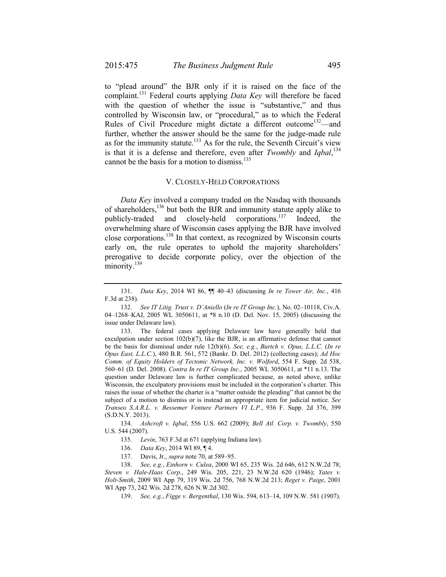to "plead around" the BJR only if it is raised on the face of the complaint.131 Federal courts applying *Data Key* will therefore be faced with the question of whether the issue is "substantive," and thus controlled by Wisconsin law, or "procedural," as to which the Federal Rules of Civil Procedure might dictate a different outcome<sup>132</sup>—and further, whether the answer should be the same for the judge-made rule as for the immunity statute.<sup>133</sup> As for the rule, the Seventh Circuit's view is that it is a defense and therefore, even after *Twombly* and *Iqbal*, 134 cannot be the basis for a motion to dismiss.<sup>135</sup>

# V. CLOSELY-HELD CORPORATIONS

*Data Key* involved a company traded on the Nasdaq with thousands of shareholders, $136$  but both the BJR and immunity statute apply alike to publicly-traded and closely-held corporations.137 Indeed, the overwhelming share of Wisconsin cases applying the BJR have involved close corporations.138 In that context, as recognized by Wisconsin courts early on, the rule operates to uphold the majority shareholders' prerogative to decide corporate policy, over the objection of the minority.<sup>139</sup>

 134. *Ashcroft v. Iqbal*, 556 U.S. 662 (2009); *Bell Atl. Corp. v. Twombly*, 550 U.S. 544 (2007).

136. *Data Key*, 2014 WI 89, ¶ 4.

137. Davis, Jr., *supra* note 70, at 589–95.

 138. *See, e.g.*, *Einhorn v. Culea*, 2000 WI 65, 235 Wis. 2d 646, 612 N.W.2d 78; *Steven v. Hale-Haas Corp*., 249 Wis. 205, 221, 23 N.W.2d 620 (1946); *Yates v. Holt-Smith*, 2009 WI App 79, 319 Wis. 2d 756, 768 N.W.2d 213; *Reget v. Paige*, 2001 WI App 73, 242 Wis. 2d 278, 626 N.W.2d 302.

139. *See, e.g.*, *Figge v. Bergenthal*, 130 Wis. 594, 613–14, 109 N.W. 581 (1907).

 <sup>131.</sup> *Data Key*, 2014 WI 86, ¶¶ 40–43 (discussing *In re Tower Air, Inc.*, 416 F.3d at 238).

 <sup>132.</sup> *See IT Litig. Trust v. D'Aniello* (*In re IT Group Inc.*), No. 02–10118, Civ.A. 04–1268–KAJ, 2005 WL 3050611, at \*8 n.10 (D. Del. Nov. 15, 2005) (discussing the issue under Delaware law).

<sup>133.</sup> The federal cases applying Delaware law have generally held that exculpation under section  $102(b)(7)$ , like the BJR, is an affirmative defense that cannot be the basis for dismissal under rule 12(b)(6). *See, e.g.*, *Burtch v. Opus, L.L.C.* (*In re Opus East, L.L.C.*), 480 B.R. 561, 572 (Bankr. D. Del. 2012) (collecting cases); *Ad Hoc Comm. of Equity Holders of Tectonic Network, Inc. v. Wolford*, 554 F. Supp. 2d 538, 560–61 (D. Del. 2008). *Contra In re IT Group Inc.*, 2005 WL 3050611, at \*11 n.13. The question under Delaware law is further complicated because, as noted above, unlike Wisconsin, the exculpatory provisions must be included in the corporation's charter. This raises the issue of whether the charter is a "matter outside the pleading" that cannot be the subject of a motion to dismiss or is instead an appropriate item for judicial notice. *See Transeo S.A.R.L. v. Bessemer Venture Partners VI L.P.*, 936 F. Supp. 2d 376, 399 (S.D.N.Y. 2013).

 <sup>135.</sup> *Levin*, 763 F.3d at 671 (applying Indiana law).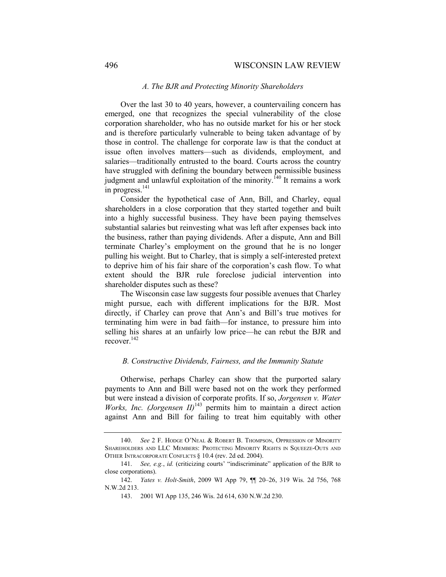# 496 WISCONSIN LAW REVIEW

### *A. The BJR and Protecting Minority Shareholders*

Over the last 30 to 40 years, however, a countervailing concern has emerged, one that recognizes the special vulnerability of the close corporation shareholder, who has no outside market for his or her stock and is therefore particularly vulnerable to being taken advantage of by those in control. The challenge for corporate law is that the conduct at issue often involves matters—such as dividends, employment, and salaries—traditionally entrusted to the board. Courts across the country have struggled with defining the boundary between permissible business judgment and unlawful exploitation of the minority.<sup>140</sup> It remains a work in progress.<sup>141</sup>

Consider the hypothetical case of Ann, Bill, and Charley, equal shareholders in a close corporation that they started together and built into a highly successful business. They have been paying themselves substantial salaries but reinvesting what was left after expenses back into the business, rather than paying dividends. After a dispute, Ann and Bill terminate Charley's employment on the ground that he is no longer pulling his weight. But to Charley, that is simply a self-interested pretext to deprive him of his fair share of the corporation's cash flow. To what extent should the BJR rule foreclose judicial intervention into shareholder disputes such as these?

The Wisconsin case law suggests four possible avenues that Charley might pursue, each with different implications for the BJR. Most directly, if Charley can prove that Ann's and Bill's true motives for terminating him were in bad faith—for instance, to pressure him into selling his shares at an unfairly low price—he can rebut the BJR and recover<sup>142</sup>

### *B. Constructive Dividends, Fairness, and the Immunity Statute*

Otherwise, perhaps Charley can show that the purported salary payments to Ann and Bill were based not on the work they performed but were instead a division of corporate profits. If so, *Jorgensen v. Water Works, Inc. (Jorgensen II)*<sup>143</sup> permits him to maintain a direct action against Ann and Bill for failing to treat him equitably with other

 <sup>140.</sup> *See* 2 F. HODGE O'NEAL & ROBERT B. THOMPSON, OPPRESSION OF MINORITY SHAREHOLDERS AND LLC MEMBERS: PROTECTING MINORITY RIGHTS IN SQUEEZE-OUTS AND OTHER INTRACORPORATE CONFLICTS § 10.4 (rev. 2d ed. 2004).

 <sup>141.</sup> *See, e.g.*, *id.* (criticizing courts' "indiscriminate" application of the BJR to close corporations).

 <sup>142.</sup> *Yates v. Holt-Smith*, 2009 WI App 79, ¶¶ 20–26, 319 Wis. 2d 756, 768 N.W.2d 213.

<sup>143. 2001</sup> WI App 135, 246 Wis. 2d 614, 630 N.W.2d 230.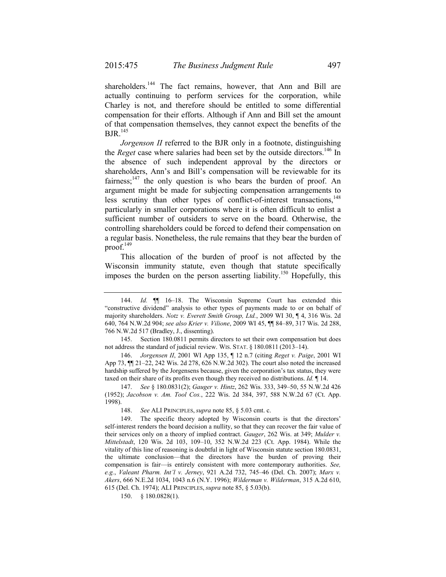shareholders.<sup>144</sup> The fact remains, however, that Ann and Bill are actually continuing to perform services for the corporation, while Charley is not, and therefore should be entitled to some differential compensation for their efforts. Although if Ann and Bill set the amount of that compensation themselves, they cannot expect the benefits of the  $B$ JR. $145$ 

*Jorgenson II* referred to the BJR only in a footnote, distinguishing the *Reget* case where salaries had been set by the outside directors.<sup>146</sup> In the absence of such independent approval by the directors or shareholders, Ann's and Bill's compensation will be reviewable for its fairness; $147$  the only question is who bears the burden of proof. An argument might be made for subjecting compensation arrangements to less scrutiny than other types of conflict-of-interest transactions, $148$ particularly in smaller corporations where it is often difficult to enlist a sufficient number of outsiders to serve on the board. Otherwise, the controlling shareholders could be forced to defend their compensation on a regular basis. Nonetheless, the rule remains that they bear the burden of proof. $149$ 

This allocation of the burden of proof is not affected by the Wisconsin immunity statute, even though that statute specifically imposes the burden on the person asserting liability.<sup>150</sup> Hopefully, this

 <sup>144.</sup> *Id.* ¶¶ 16–18. The Wisconsin Supreme Court has extended this "constructive dividend" analysis to other types of payments made to or on behalf of majority shareholders. *Notz v. Everett Smith Group, Ltd.*, 2009 WI 30, ¶ 4, 316 Wis. 2d 640, 764 N.W.2d 904; *see also Krier v. Vilione*, 2009 WI 45, ¶¶ 84–89, 317 Wis. 2d 288, 766 N.W.2d 517 (Bradley, J., dissenting).

<sup>145.</sup> Section 180.0811 permits directors to set their own compensation but does not address the standard of judicial review. WIS. STAT. § 180.0811 (2013–14).

 <sup>146.</sup> *Jorgensen II*, 2001 WI App 135, ¶ 12 n.7 (citing *Reget v. Paige*, 2001 WI App 73, ¶¶ 21–22, 242 Wis. 2d 278, 626 N.W.2d 302). The court also noted the increased hardship suffered by the Jorgensens because, given the corporation's tax status, they were taxed on their share of its profits even though they received no distributions. *Id.* ¶ 14.

 <sup>147.</sup> *See* § 180.0831(2); *Gauger v. Hintz*, 262 Wis. 333, 349–50, 55 N.W.2d 426 (1952); *Jacobson v. Am. Tool Cos.*, 222 Wis. 2d 384, 397, 588 N.W.2d 67 (Ct. App. 1998).

 <sup>148.</sup> *See* ALI PRINCIPLES, *supra* note 85, § 5.03 cmt. c.

<sup>149.</sup> The specific theory adopted by Wisconsin courts is that the directors' self-interest renders the board decision a nullity, so that they can recover the fair value of their services only on a theory of implied contract. *Gauger*, 262 Wis. at 349; *Mulder v. Mittelstadt*, 120 Wis. 2d 103, 109–10, 352 N.W.2d 223 (Ct. App. 1984). While the vitality of this line of reasoning is doubtful in light of Wisconsin statute section 180.0831, the ultimate conclusion—that the directors have the burden of proving their compensation is fair—is entirely consistent with more contemporary authorities. *See, e.g.*, *Valeant Pharm. Int'l v. Jerney*, 921 A.2d 732, 745–46 (Del. Ch. 2007); *Marx v. Akers*, 666 N.E.2d 1034, 1043 n.6 (N.Y. 1996); *Wilderman v. Wilderman*, 315 A.2d 610, 615 (Del. Ch. 1974); ALI PRINCIPLES, *supra* note 85, § 5.03(b).

 <sup>150. § 180.0828(1).</sup>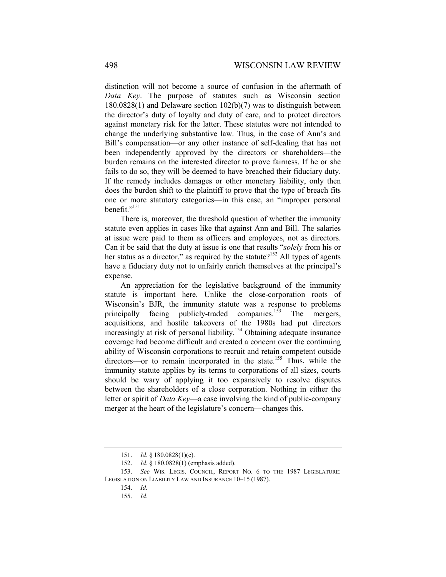distinction will not become a source of confusion in the aftermath of *Data Key*. The purpose of statutes such as Wisconsin section 180.0828(1) and Delaware section 102(b)(7) was to distinguish between the director's duty of loyalty and duty of care, and to protect directors against monetary risk for the latter. These statutes were not intended to change the underlying substantive law. Thus, in the case of Ann's and Bill's compensation—or any other instance of self-dealing that has not been independently approved by the directors or shareholders—the burden remains on the interested director to prove fairness. If he or she fails to do so, they will be deemed to have breached their fiduciary duty. If the remedy includes damages or other monetary liability, only then does the burden shift to the plaintiff to prove that the type of breach fits one or more statutory categories—in this case, an "improper personal benefit."<sup>151</sup>

There is, moreover, the threshold question of whether the immunity statute even applies in cases like that against Ann and Bill. The salaries at issue were paid to them as officers and employees, not as directors. Can it be said that the duty at issue is one that results "*solely* from his or her status as a director," as required by the statute?<sup>152</sup> All types of agents have a fiduciary duty not to unfairly enrich themselves at the principal's expense.

An appreciation for the legislative background of the immunity statute is important here. Unlike the close-corporation roots of Wisconsin's BJR, the immunity statute was a response to problems principally facing publicly-traded companies.<sup>153</sup> The mergers, acquisitions, and hostile takeovers of the 1980s had put directors increasingly at risk of personal liability.<sup>154</sup> Obtaining adequate insurance coverage had become difficult and created a concern over the continuing ability of Wisconsin corporations to recruit and retain competent outside directors—or to remain incorporated in the state.<sup>155</sup> Thus, while the immunity statute applies by its terms to corporations of all sizes, courts should be wary of applying it too expansively to resolve disputes between the shareholders of a close corporation. Nothing in either the letter or spirit of *Data Key*—a case involving the kind of public-company merger at the heart of the legislature's concern—changes this.

 <sup>151.</sup> *Id.* § 180.0828(1)(c).

 <sup>152.</sup> *Id.* § 180.0828(1) (emphasis added).

 <sup>153.</sup> *See* WIS. LEGIS. COUNCIL, REPORT NO. 6 TO THE 1987 LEGISLATURE: LEGISLATION ON LIABILITY LAW AND INSURANCE 10–15 (1987).

 <sup>154.</sup> *Id.* 

 <sup>155.</sup> *Id.*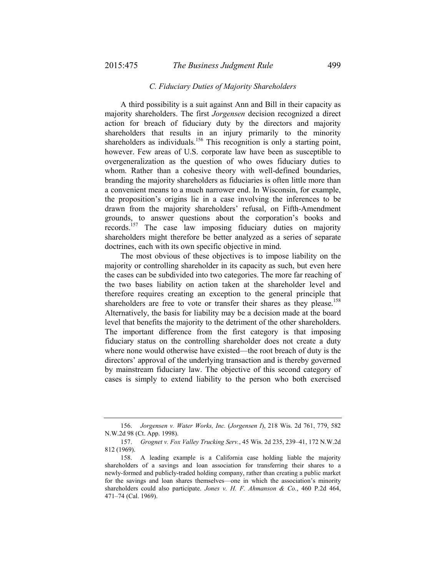### *C. Fiduciary Duties of Majority Shareholders*

A third possibility is a suit against Ann and Bill in their capacity as majority shareholders. The first *Jorgensen* decision recognized a direct action for breach of fiduciary duty by the directors and majority shareholders that results in an injury primarily to the minority shareholders as individuals.<sup>156</sup> This recognition is only a starting point, however. Few areas of U.S. corporate law have been as susceptible to overgeneralization as the question of who owes fiduciary duties to whom. Rather than a cohesive theory with well-defined boundaries, branding the majority shareholders as fiduciaries is often little more than a convenient means to a much narrower end. In Wisconsin, for example, the proposition's origins lie in a case involving the inferences to be drawn from the majority shareholders' refusal, on Fifth-Amendment grounds, to answer questions about the corporation's books and records.157 The case law imposing fiduciary duties on majority shareholders might therefore be better analyzed as a series of separate doctrines, each with its own specific objective in mind.

The most obvious of these objectives is to impose liability on the majority or controlling shareholder in its capacity as such, but even here the cases can be subdivided into two categories. The more far reaching of the two bases liability on action taken at the shareholder level and therefore requires creating an exception to the general principle that shareholders are free to vote or transfer their shares as they please.<sup>158</sup> Alternatively, the basis for liability may be a decision made at the board level that benefits the majority to the detriment of the other shareholders. The important difference from the first category is that imposing fiduciary status on the controlling shareholder does not create a duty where none would otherwise have existed—the root breach of duty is the directors' approval of the underlying transaction and is thereby governed by mainstream fiduciary law. The objective of this second category of cases is simply to extend liability to the person who both exercised

 <sup>156.</sup> *Jorgensen v. Water Works, Inc.* (*Jorgensen I*), 218 Wis. 2d 761, 779, 582 N.W.2d 98 (Ct. App. 1998).

 <sup>157.</sup> *Grognet v. Fox Valley Trucking Serv.*, 45 Wis. 2d 235, 239–41, 172 N.W.2d 812 (1969).

<sup>158.</sup> A leading example is a California case holding liable the majority shareholders of a savings and loan association for transferring their shares to a newly-formed and publicly-traded holding company, rather than creating a public market for the savings and loan shares themselves—one in which the association's minority shareholders could also participate. *Jones v. H. F. Ahmanson & Co.*, 460 P.2d 464, 471–74 (Cal. 1969).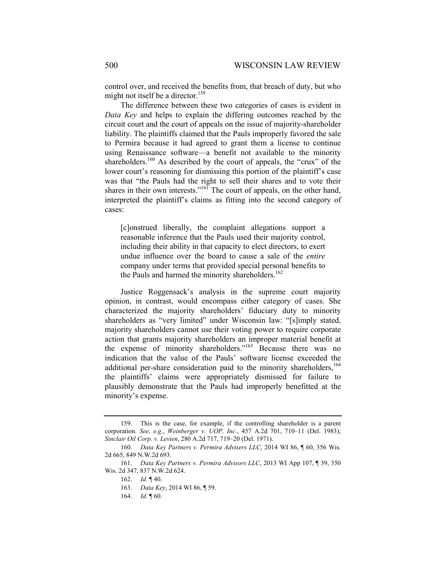control over, and received the benefits from, that breach of duty, but who might not itself be a director.<sup>159</sup>

The difference between these two categories of cases is evident in *Data Key* and helps to explain the differing outcomes reached by the circuit court and the court of appeals on the issue of majority-shareholder liability. The plaintiffs claimed that the Pauls improperly favored the sale to Permira because it had agreed to grant them a license to continue using Renaissance software—a benefit not available to the minority shareholders.<sup>160</sup> As described by the court of appeals, the "crux" of the lower court's reasoning for dismissing this portion of the plaintiff's case was that "the Pauls had the right to sell their shares and to vote their shares in their own interests."<sup>161</sup> The court of appeals, on the other hand, interpreted the plaintiff's claims as fitting into the second category of cases:

[c]onstrued liberally, the complaint allegations support a reasonable inference that the Pauls used their majority control, including their ability in that capacity to elect directors, to exert undue influence over the board to cause a sale of the *entire* company under terms that provided special personal benefits to the Pauls and harmed the minority shareholders.<sup>162</sup>

Justice Roggensack's analysis in the supreme court majority opinion, in contrast, would encompass either category of cases. She characterized the majority shareholders' fiduciary duty to minority shareholders as "very limited" under Wisconsin law: "[s]imply stated, majority shareholders cannot use their voting power to require corporate action that grants majority shareholders an improper material benefit at the expense of minority shareholders."163 Because there was no indication that the value of the Pauls' software license exceeded the additional per-share consideration paid to the minority shareholders,<sup>164</sup> the plaintiffs' claims were appropriately dismissed for failure to plausibly demonstrate that the Pauls had improperly benefitted at the minority's expense.

164. *Id.* ¶ 60.

<sup>159.</sup> This is the case, for example, if the controlling shareholder is a parent corporation. *See, e.g.*, *Weinberger v. UOP, Inc.*, 457 A.2d 701, 710–11 (Del. 1983); *Sinclair Oil Corp. v. Levien*, 280 A.2d 717, 719–20 (Del. 1971).

 <sup>160.</sup> *Data Key Partners v. Permira Advisers LLC*, 2014 WI 86, ¶ 60, 356 Wis. 2d 665, 849 N.W.2d 693.

 <sup>161.</sup> *Data Key Partners v. Permira Advisors LLC*, 2013 WI App 107, ¶ 39, 350 Wis. 2d 347, 837 N.W.2d 624.

 <sup>162.</sup> *Id.* ¶ 40.

 <sup>163.</sup> *Data Key*, 2014 WI 86, ¶ 59.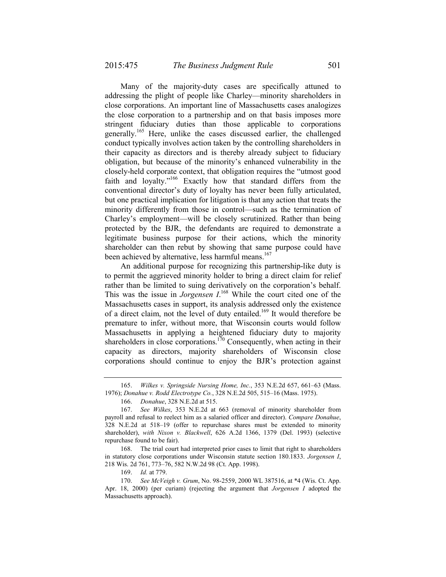Many of the majority-duty cases are specifically attuned to addressing the plight of people like Charley—minority shareholders in close corporations. An important line of Massachusetts cases analogizes the close corporation to a partnership and on that basis imposes more stringent fiduciary duties than those applicable to corporations generally.165 Here, unlike the cases discussed earlier, the challenged conduct typically involves action taken by the controlling shareholders in their capacity as directors and is thereby already subject to fiduciary obligation, but because of the minority's enhanced vulnerability in the closely-held corporate context, that obligation requires the "utmost good faith and loyalty."<sup>166</sup> Exactly how that standard differs from the conventional director's duty of loyalty has never been fully articulated, but one practical implication for litigation is that any action that treats the minority differently from those in control—such as the termination of Charley's employment—will be closely scrutinized. Rather than being protected by the BJR, the defendants are required to demonstrate a legitimate business purpose for their actions, which the minority shareholder can then rebut by showing that same purpose could have been achieved by alternative, less harmful means.<sup>167</sup>

An additional purpose for recognizing this partnership-like duty is to permit the aggrieved minority holder to bring a direct claim for relief rather than be limited to suing derivatively on the corporation's behalf. This was the issue in *Jorgensen*  $I^{168}$  While the court cited one of the Massachusetts cases in support, its analysis addressed only the existence of a direct claim, not the level of duty entailed.169 It would therefore be premature to infer, without more, that Wisconsin courts would follow Massachusetts in applying a heightened fiduciary duty to majority shareholders in close corporations.<sup>170</sup> Consequently, when acting in their capacity as directors, majority shareholders of Wisconsin close corporations should continue to enjoy the BJR's protection against

 <sup>165.</sup> *Wilkes v. Springside Nursing Home, Inc.*, 353 N.E.2d 657, 661–63 (Mass. 1976); *Donahue v. Rodd Electrotype Co.*, 328 N.E.2d 505, 515–16 (Mass. 1975).

 <sup>166.</sup> *Donahue*, 328 N.E.2d at 515.

 <sup>167.</sup> *See Wilkes*, 353 N.E.2d at 663 (removal of minority shareholder from payroll and refusal to reelect him as a salaried officer and director). *Compare Donahue*, 328 N.E.2d at 518–19 (offer to repurchase shares must be extended to minority shareholder), *with Nixon v. Blackwell*, 626 A.2d 1366, 1379 (Del. 1993) (selective repurchase found to be fair).

<sup>168.</sup> The trial court had interpreted prior cases to limit that right to shareholders in statutory close corporations under Wisconsin statute section 180.1833. *Jorgensen I*, 218 Wis. 2d 761, 773–76, 582 N.W.2d 98 (Ct. App. 1998).

 <sup>169.</sup> *Id.* at 779.

 <sup>170.</sup> *See McVeigh v. Grum*, No. 98-2559, 2000 WL 387516, at \*4 (Wis. Ct. App. Apr. 18, 2000) (per curiam) (rejecting the argument that *Jorgensen I* adopted the Massachusetts approach).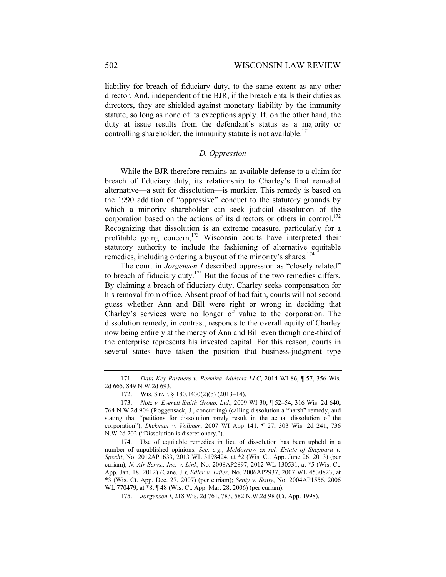liability for breach of fiduciary duty, to the same extent as any other director. And, independent of the BJR, if the breach entails their duties as directors, they are shielded against monetary liability by the immunity statute, so long as none of its exceptions apply. If, on the other hand, the duty at issue results from the defendant's status as a majority or controlling shareholder, the immunity statute is not available.<sup>171</sup>

# *D. Oppression*

While the BJR therefore remains an available defense to a claim for breach of fiduciary duty, its relationship to Charley's final remedial alternative—a suit for dissolution—is murkier. This remedy is based on the 1990 addition of "oppressive" conduct to the statutory grounds by which a minority shareholder can seek judicial dissolution of the corporation based on the actions of its directors or others in control.<sup>172</sup> Recognizing that dissolution is an extreme measure, particularly for a profitable going concern,<sup>173</sup> Wisconsin courts have interpreted their statutory authority to include the fashioning of alternative equitable remedies, including ordering a buyout of the minority's shares.<sup>174</sup>

The court in *Jorgensen I* described oppression as "closely related" to breach of fiduciary duty.<sup>175</sup> But the focus of the two remedies differs. By claiming a breach of fiduciary duty, Charley seeks compensation for his removal from office. Absent proof of bad faith, courts will not second guess whether Ann and Bill were right or wrong in deciding that Charley's services were no longer of value to the corporation. The dissolution remedy, in contrast, responds to the overall equity of Charley now being entirely at the mercy of Ann and Bill even though one-third of the enterprise represents his invested capital. For this reason, courts in several states have taken the position that business-judgment type

 <sup>171.</sup> *Data Key Partners v. Permira Advisers LLC*, 2014 WI 86, ¶ 57, 356 Wis. 2d 665, 849 N.W.2d 693.

 <sup>172.</sup> WIS. STAT. § 180.1430(2)(b) (2013–14).

 <sup>173.</sup> *Notz v. Everett Smith Group, Ltd.*, 2009 WI 30, ¶ 52–54, 316 Wis. 2d 640, 764 N.W.2d 904 (Roggensack, J., concurring) (calling dissolution a "harsh" remedy, and stating that "petitions for dissolution rarely result in the actual dissolution of the corporation"); *Dickman v. Vollmer*, 2007 WI App 141, ¶ 27, 303 Wis. 2d 241, 736 N.W.2d 202 ("Dissolution is discretionary.").

<sup>174.</sup> Use of equitable remedies in lieu of dissolution has been upheld in a number of unpublished opinions. *See, e.g.*, *McMorrow ex rel. Estate of Sheppard v. Specht*, No. 2012AP1633, 2013 WL 3198424, at \*2 (Wis. Ct. App. June 26, 2013) (per curiam); *N. Air Servs., Inc. v. Link*, No. 2008AP2897, 2012 WL 130531, at \*5 (Wis. Ct. App. Jan. 18, 2012) (Cane, J.); *Edler v. Edler*, No. 2006AP2937, 2007 WL 4530823, at \*3 (Wis. Ct. App. Dec. 27, 2007) (per curiam); *Senty v. Senty*, No. 2004AP1556, 2006 WL 770479, at \*8, ¶ 48 (Wis. Ct. App. Mar. 28, 2006) (per curiam).

 <sup>175.</sup> *Jorgensen I*, 218 Wis. 2d 761, 783, 582 N.W.2d 98 (Ct. App. 1998).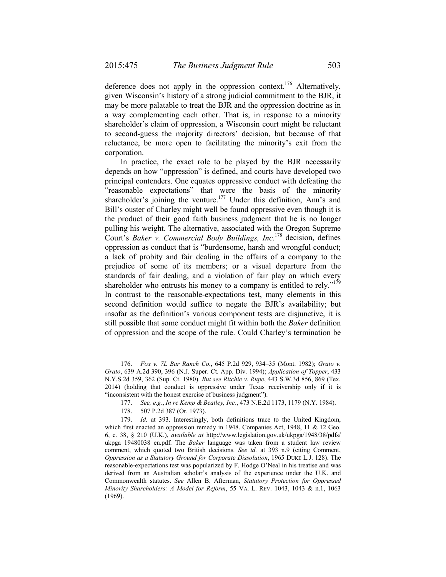deference does not apply in the oppression context.<sup>176</sup> Alternatively, given Wisconsin's history of a strong judicial commitment to the BJR, it may be more palatable to treat the BJR and the oppression doctrine as in a way complementing each other. That is, in response to a minority shareholder's claim of oppression, a Wisconsin court might be reluctant to second-guess the majority directors' decision, but because of that reluctance, be more open to facilitating the minority's exit from the corporation.

In practice, the exact role to be played by the BJR necessarily depends on how "oppression" is defined, and courts have developed two principal contenders. One equates oppressive conduct with defeating the "reasonable expectations" that were the basis of the minority shareholder's joining the venture.<sup>177</sup> Under this definition, Ann's and Bill's ouster of Charley might well be found oppressive even though it is the product of their good faith business judgment that he is no longer pulling his weight. The alternative, associated with the Oregon Supreme Court's *Baker v. Commercial Body Buildings, Inc.*178 decision, defines oppression as conduct that is "burdensome, harsh and wrongful conduct; a lack of probity and fair dealing in the affairs of a company to the prejudice of some of its members; or a visual departure from the standards of fair dealing, and a violation of fair play on which every shareholder who entrusts his money to a company is entitled to rely."<sup>179</sup> In contrast to the reasonable-expectations test, many elements in this second definition would suffice to negate the BJR's availability; but insofar as the definition's various component tests are disjunctive, it is still possible that some conduct might fit within both the *Baker* definition of oppression and the scope of the rule. Could Charley's termination be

 <sup>176.</sup> *Fox v. 7L Bar Ranch Co.*, 645 P.2d 929, 934–35 (Mont. 1982); *Grato v. Grato*, 639 A.2d 390, 396 (N.J. Super. Ct. App. Div. 1994); *Application of Topper*, 433 N.Y.S.2d 359, 362 (Sup. Ct. 1980). *But see Ritchie v. Rupe*, 443 S.W.3d 856, 869 (Tex. 2014) (holding that conduct is oppressive under Texas receivership only if it is "inconsistent with the honest exercise of business judgment").

 <sup>177.</sup> *See, e.g.*, *In re Kemp & Beatley, Inc.*, 473 N.E.2d 1173, 1179 (N.Y. 1984).

<sup>178. 507</sup> P.2d 387 (Or. 1973).

 <sup>179.</sup> *Id.* at 393. Interestingly, both definitions trace to the United Kingdom, which first enacted an oppression remedy in 1948. Companies Act, 1948, 11 & 12 Geo. 6, c. 38, § 210 (U.K.), *available at* http://www.legislation.gov.uk/ukpga/1948/38/pdfs/ ukpga\_19480038\_en.pdf. The *Baker* language was taken from a student law review comment, which quoted two British decisions. *See id.* at 393 n.9 (citing Comment, *Oppression as a Statutory Ground for Corporate Dissolution*, 1965 DUKE L.J. 128). The reasonable-expectations test was popularized by F. Hodge O'Neal in his treatise and was derived from an Australian scholar's analysis of the experience under the U.K. and Commonwealth statutes. *See* Allen B. Afterman, *Statutory Protection for Oppressed Minority Shareholders: A Model for Reform*, 55 VA. L. REV. 1043, 1043 & n.1, 1063 (1969).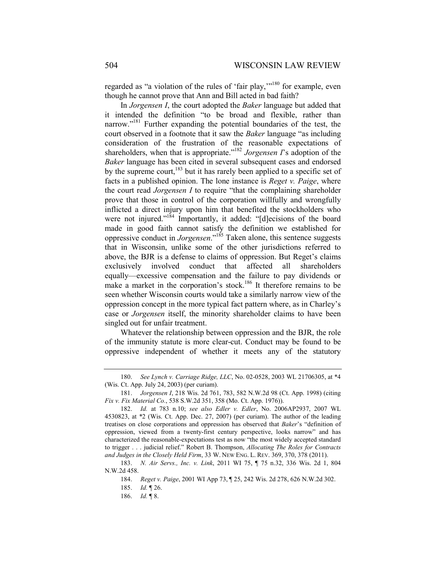regarded as "a violation of the rules of 'fair play,"<sup>180</sup> for example, even though he cannot prove that Ann and Bill acted in bad faith?

In *Jorgensen I*, the court adopted the *Baker* language but added that it intended the definition "to be broad and flexible, rather than narrow."181 Further expanding the potential boundaries of the test, the court observed in a footnote that it saw the *Baker* language "as including consideration of the frustration of the reasonable expectations of shareholders, when that is appropriate."182 *Jorgensen I*'s adoption of the *Baker* language has been cited in several subsequent cases and endorsed by the supreme court, $183$  but it has rarely been applied to a specific set of facts in a published opinion. The lone instance is *Reget v. Paige*, where the court read *Jorgensen I* to require "that the complaining shareholder prove that those in control of the corporation willfully and wrongfully inflicted a direct injury upon him that benefited the stockholders who were not injured."<sup>184</sup> Importantly, it added: "[d]ecisions of the board made in good faith cannot satisfy the definition we established for oppressive conduct in *Jorgensen*."185 Taken alone, this sentence suggests that in Wisconsin, unlike some of the other jurisdictions referred to above, the BJR is a defense to claims of oppression. But Reget's claims exclusively involved conduct that affected all shareholders equally—excessive compensation and the failure to pay dividends or make a market in the corporation's stock.<sup>186</sup> It therefore remains to be seen whether Wisconsin courts would take a similarly narrow view of the oppression concept in the more typical fact pattern where, as in Charley's case or *Jorgensen* itself, the minority shareholder claims to have been singled out for unfair treatment.

Whatever the relationship between oppression and the BJR, the role of the immunity statute is more clear-cut. Conduct may be found to be oppressive independent of whether it meets any of the statutory

 <sup>180.</sup> *See Lynch v. Carriage Ridge, LLC*, No. 02-0528, 2003 WL 21706305, at \*4 (Wis. Ct. App. July 24, 2003) (per curiam).

 <sup>181.</sup> *Jorgensen I*, 218 Wis. 2d 761, 783, 582 N.W.2d 98 (Ct. App. 1998) (citing *Fix v. Fix Material Co.*, 538 S.W.2d 351, 358 (Mo. Ct. App. 1976)).

 <sup>182.</sup> *Id.* at 783 n.10; *see also Edler v. Edler*, No. 2006AP2937, 2007 WL 4530823, at \*2 (Wis. Ct. App. Dec. 27, 2007) (per curiam). The author of the leading treatises on close corporations and oppression has observed that *Baker*'s "definition of oppression, viewed from a twenty-first century perspective, looks narrow" and has characterized the reasonable-expectations test as now "the most widely accepted standard to trigger . . . judicial relief." Robert B. Thompson, *Allocating The Roles for Contracts and Judges in the Closely Held Firm*, 33 W. NEW ENG. L. REV. 369, 370, 378 (2011).

 <sup>183.</sup> *N. Air Servs., Inc. v. Link*, 2011 WI 75, ¶ 75 n.32, 336 Wis. 2d 1, 804 N.W.2d 458.

 <sup>184.</sup> *Reget v. Paige*, 2001 WI App 73, ¶ 25, 242 Wis. 2d 278, 626 N.W.2d 302.

 <sup>185.</sup> *Id.* ¶ 26.

 <sup>186.</sup> *Id.* ¶ 8.